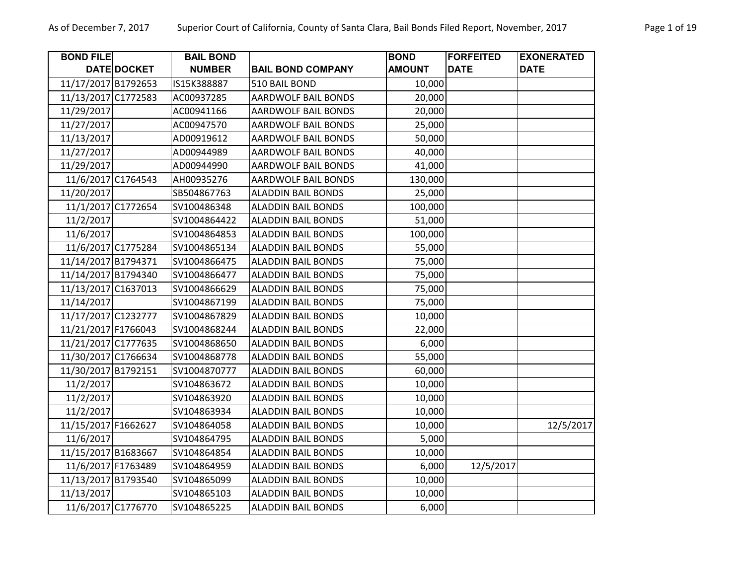| <b>BOND FILE</b>    |             | <b>BAIL BOND</b> |                            | <b>BOND</b>   | <b>FORFEITED</b> | <b>EXONERATED</b> |
|---------------------|-------------|------------------|----------------------------|---------------|------------------|-------------------|
|                     | DATE DOCKET | <b>NUMBER</b>    | <b>BAIL BOND COMPANY</b>   | <b>AMOUNT</b> | <b>DATE</b>      | <b>DATE</b>       |
| 11/17/2017 B1792653 |             | IS15K388887      | 510 BAIL BOND              | 10,000        |                  |                   |
| 11/13/2017 C1772583 |             | AC00937285       | <b>AARDWOLF BAIL BONDS</b> | 20,000        |                  |                   |
| 11/29/2017          |             | AC00941166       | <b>AARDWOLF BAIL BONDS</b> | 20,000        |                  |                   |
| 11/27/2017          |             | AC00947570       | <b>AARDWOLF BAIL BONDS</b> | 25,000        |                  |                   |
| 11/13/2017          |             | AD00919612       | <b>AARDWOLF BAIL BONDS</b> | 50,000        |                  |                   |
| 11/27/2017          |             | AD00944989       | <b>AARDWOLF BAIL BONDS</b> | 40,000        |                  |                   |
| 11/29/2017          |             | AD00944990       | AARDWOLF BAIL BONDS        | 41,000        |                  |                   |
| 11/6/2017 C1764543  |             | AH00935276       | AARDWOLF BAIL BONDS        | 130,000       |                  |                   |
| 11/20/2017          |             | SB504867763      | <b>ALADDIN BAIL BONDS</b>  | 25,000        |                  |                   |
| 11/1/2017 C1772654  |             | SV100486348      | <b>ALADDIN BAIL BONDS</b>  | 100,000       |                  |                   |
| 11/2/2017           |             | SV1004864422     | <b>ALADDIN BAIL BONDS</b>  | 51,000        |                  |                   |
| 11/6/2017           |             | SV1004864853     | <b>ALADDIN BAIL BONDS</b>  | 100,000       |                  |                   |
| 11/6/2017 C1775284  |             | SV1004865134     | <b>ALADDIN BAIL BONDS</b>  | 55,000        |                  |                   |
| 11/14/2017 B1794371 |             | SV1004866475     | <b>ALADDIN BAIL BONDS</b>  | 75,000        |                  |                   |
| 11/14/2017 B1794340 |             | SV1004866477     | <b>ALADDIN BAIL BONDS</b>  | 75,000        |                  |                   |
| 11/13/2017 C1637013 |             | SV1004866629     | <b>ALADDIN BAIL BONDS</b>  | 75,000        |                  |                   |
| 11/14/2017          |             | SV1004867199     | <b>ALADDIN BAIL BONDS</b>  | 75,000        |                  |                   |
| 11/17/2017 C1232777 |             | SV1004867829     | <b>ALADDIN BAIL BONDS</b>  | 10,000        |                  |                   |
| 11/21/2017 F1766043 |             | SV1004868244     | <b>ALADDIN BAIL BONDS</b>  | 22,000        |                  |                   |
| 11/21/2017 C1777635 |             | SV1004868650     | <b>ALADDIN BAIL BONDS</b>  | 6,000         |                  |                   |
| 11/30/2017 C1766634 |             | SV1004868778     | <b>ALADDIN BAIL BONDS</b>  | 55,000        |                  |                   |
| 11/30/2017 B1792151 |             | SV1004870777     | <b>ALADDIN BAIL BONDS</b>  | 60,000        |                  |                   |
| 11/2/2017           |             | SV104863672      | <b>ALADDIN BAIL BONDS</b>  | 10,000        |                  |                   |
| 11/2/2017           |             | SV104863920      | <b>ALADDIN BAIL BONDS</b>  | 10,000        |                  |                   |
| 11/2/2017           |             | SV104863934      | <b>ALADDIN BAIL BONDS</b>  | 10,000        |                  |                   |
| 11/15/2017 F1662627 |             | SV104864058      | <b>ALADDIN BAIL BONDS</b>  | 10,000        |                  | 12/5/2017         |
| 11/6/2017           |             | SV104864795      | <b>ALADDIN BAIL BONDS</b>  | 5,000         |                  |                   |

11/15/2017 B1683667 SV104864854 ALADDIN BAIL BONDS 10,000

11/13/2017 B1793540 SV104865099 ALADDIN BAIL BONDS 10,000 11/13/2017 SV104865103 ALADDIN BAIL BONDS 10,000 11/6/2017 C1776770 SV104865225 ALADDIN BAIL BONDS 6,000

11/6/2017 F1763489 SV104864959 ALADDIN BAIL BONDS 6,000 12/5/2017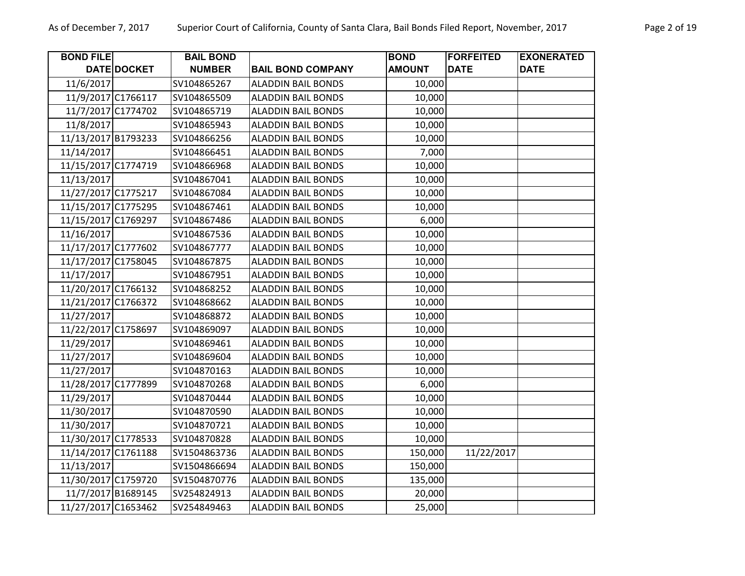| <b>BOND FILE</b>    | DATE DOCKET        | <b>BAIL BOND</b><br><b>NUMBER</b> | <b>BAIL BOND COMPANY</b>  | <b>BOND</b><br><b>AMOUNT</b> | <b>FORFEITED</b><br><b>DATE</b> | <b>EXONERATED</b><br><b>DATE</b> |
|---------------------|--------------------|-----------------------------------|---------------------------|------------------------------|---------------------------------|----------------------------------|
| 11/6/2017           |                    | SV104865267                       | <b>ALADDIN BAIL BONDS</b> | 10,000                       |                                 |                                  |
|                     | 11/9/2017 C1766117 | SV104865509                       | <b>ALADDIN BAIL BONDS</b> | 10,000                       |                                 |                                  |
|                     | 11/7/2017 C1774702 | SV104865719                       | <b>ALADDIN BAIL BONDS</b> | 10,000                       |                                 |                                  |
| 11/8/2017           |                    | SV104865943                       | <b>ALADDIN BAIL BONDS</b> | 10,000                       |                                 |                                  |
| 11/13/2017 B1793233 |                    | SV104866256                       | <b>ALADDIN BAIL BONDS</b> | 10,000                       |                                 |                                  |
| 11/14/2017          |                    | SV104866451                       | <b>ALADDIN BAIL BONDS</b> | 7,000                        |                                 |                                  |
| 11/15/2017 C1774719 |                    | SV104866968                       | <b>ALADDIN BAIL BONDS</b> | 10,000                       |                                 |                                  |
| 11/13/2017          |                    | SV104867041                       | <b>ALADDIN BAIL BONDS</b> | 10,000                       |                                 |                                  |
| 11/27/2017 C1775217 |                    | SV104867084                       | <b>ALADDIN BAIL BONDS</b> | 10,000                       |                                 |                                  |
| 11/15/2017 C1775295 |                    | SV104867461                       | <b>ALADDIN BAIL BONDS</b> | 10,000                       |                                 |                                  |
| 11/15/2017 C1769297 |                    | SV104867486                       | <b>ALADDIN BAIL BONDS</b> | 6,000                        |                                 |                                  |
| 11/16/2017          |                    | SV104867536                       | <b>ALADDIN BAIL BONDS</b> | 10,000                       |                                 |                                  |
| 11/17/2017 C1777602 |                    | SV104867777                       | <b>ALADDIN BAIL BONDS</b> | 10,000                       |                                 |                                  |
| 11/17/2017 C1758045 |                    | SV104867875                       | <b>ALADDIN BAIL BONDS</b> | 10,000                       |                                 |                                  |
| 11/17/2017          |                    | SV104867951                       | <b>ALADDIN BAIL BONDS</b> | 10,000                       |                                 |                                  |
| 11/20/2017 C1766132 |                    | SV104868252                       | <b>ALADDIN BAIL BONDS</b> | 10,000                       |                                 |                                  |
| 11/21/2017 C1766372 |                    | SV104868662                       | <b>ALADDIN BAIL BONDS</b> | 10,000                       |                                 |                                  |
| 11/27/2017          |                    | SV104868872                       | <b>ALADDIN BAIL BONDS</b> | 10,000                       |                                 |                                  |
| 11/22/2017 C1758697 |                    | SV104869097                       | <b>ALADDIN BAIL BONDS</b> | 10,000                       |                                 |                                  |
| 11/29/2017          |                    | SV104869461                       | <b>ALADDIN BAIL BONDS</b> | 10,000                       |                                 |                                  |
| 11/27/2017          |                    | SV104869604                       | <b>ALADDIN BAIL BONDS</b> | 10,000                       |                                 |                                  |
| 11/27/2017          |                    | SV104870163                       | <b>ALADDIN BAIL BONDS</b> | 10,000                       |                                 |                                  |
| 11/28/2017 C1777899 |                    | SV104870268                       | <b>ALADDIN BAIL BONDS</b> | 6,000                        |                                 |                                  |
| 11/29/2017          |                    | SV104870444                       | <b>ALADDIN BAIL BONDS</b> | 10,000                       |                                 |                                  |
| 11/30/2017          |                    | SV104870590                       | <b>ALADDIN BAIL BONDS</b> | 10,000                       |                                 |                                  |
| 11/30/2017          |                    | SV104870721                       | <b>ALADDIN BAIL BONDS</b> | 10,000                       |                                 |                                  |
| 11/30/2017 C1778533 |                    | SV104870828                       | <b>ALADDIN BAIL BONDS</b> | 10,000                       |                                 |                                  |
| 11/14/2017 C1761188 |                    | SV1504863736                      | <b>ALADDIN BAIL BONDS</b> | 150,000                      | 11/22/2017                      |                                  |
| 11/13/2017          |                    | SV1504866694                      | <b>ALADDIN BAIL BONDS</b> | 150,000                      |                                 |                                  |
| 11/30/2017 C1759720 |                    | SV1504870776                      | <b>ALADDIN BAIL BONDS</b> | 135,000                      |                                 |                                  |
|                     | 11/7/2017 B1689145 | SV254824913                       | <b>ALADDIN BAIL BONDS</b> | 20,000                       |                                 |                                  |
| 11/27/2017 C1653462 |                    | SV254849463                       | <b>ALADDIN BAIL BONDS</b> | 25,000                       |                                 |                                  |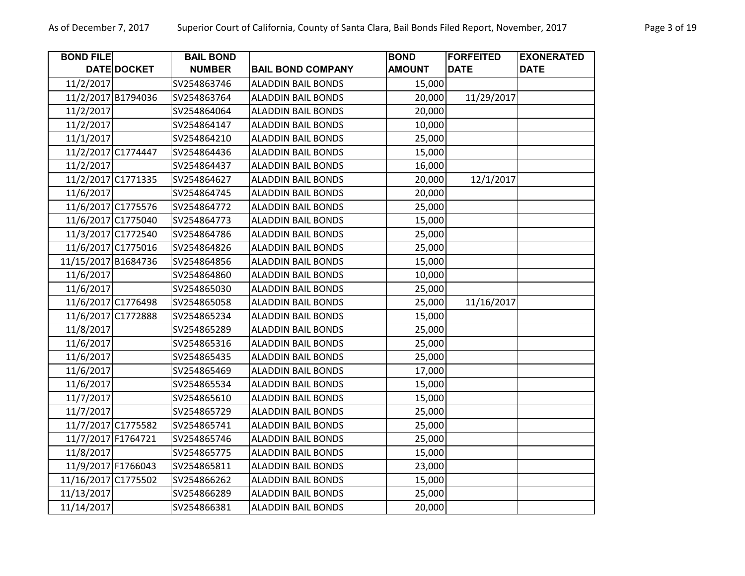| <b>BOND FILE</b>    |                    | <b>BAIL BOND</b> |                           | <b>BOND</b>   | <b>FORFEITED</b> | <b>EXONERATED</b> |
|---------------------|--------------------|------------------|---------------------------|---------------|------------------|-------------------|
|                     | <b>DATE DOCKET</b> | <b>NUMBER</b>    | <b>BAIL BOND COMPANY</b>  | <b>AMOUNT</b> | <b>DATE</b>      | <b>DATE</b>       |
| 11/2/2017           |                    | SV254863746      | <b>ALADDIN BAIL BONDS</b> | 15,000        |                  |                   |
| 11/2/2017 B1794036  |                    | SV254863764      | <b>ALADDIN BAIL BONDS</b> | 20,000        | 11/29/2017       |                   |
| 11/2/2017           |                    | SV254864064      | <b>ALADDIN BAIL BONDS</b> | 20,000        |                  |                   |
| 11/2/2017           |                    | SV254864147      | <b>ALADDIN BAIL BONDS</b> | 10,000        |                  |                   |
| 11/1/2017           |                    | SV254864210      | <b>ALADDIN BAIL BONDS</b> | 25,000        |                  |                   |
| 11/2/2017 C1774447  |                    | SV254864436      | <b>ALADDIN BAIL BONDS</b> | 15,000        |                  |                   |
| 11/2/2017           |                    | SV254864437      | <b>ALADDIN BAIL BONDS</b> | 16,000        |                  |                   |
| 11/2/2017 C1771335  |                    | SV254864627      | <b>ALADDIN BAIL BONDS</b> | 20,000        | 12/1/2017        |                   |
| 11/6/2017           |                    | SV254864745      | <b>ALADDIN BAIL BONDS</b> | 20,000        |                  |                   |
| 11/6/2017 C1775576  |                    | SV254864772      | <b>ALADDIN BAIL BONDS</b> | 25,000        |                  |                   |
| 11/6/2017 C1775040  |                    | SV254864773      | <b>ALADDIN BAIL BONDS</b> | 15,000        |                  |                   |
| 11/3/2017 C1772540  |                    | SV254864786      | <b>ALADDIN BAIL BONDS</b> | 25,000        |                  |                   |
| 11/6/2017 C1775016  |                    | SV254864826      | <b>ALADDIN BAIL BONDS</b> | 25,000        |                  |                   |
| 11/15/2017 B1684736 |                    | SV254864856      | <b>ALADDIN BAIL BONDS</b> | 15,000        |                  |                   |
| 11/6/2017           |                    | SV254864860      | <b>ALADDIN BAIL BONDS</b> | 10,000        |                  |                   |
| 11/6/2017           |                    | SV254865030      | <b>ALADDIN BAIL BONDS</b> | 25,000        |                  |                   |
| 11/6/2017 C1776498  |                    | SV254865058      | <b>ALADDIN BAIL BONDS</b> | 25,000        | 11/16/2017       |                   |
| 11/6/2017 C1772888  |                    | SV254865234      | <b>ALADDIN BAIL BONDS</b> | 15,000        |                  |                   |
| 11/8/2017           |                    | SV254865289      | <b>ALADDIN BAIL BONDS</b> | 25,000        |                  |                   |
| 11/6/2017           |                    | SV254865316      | <b>ALADDIN BAIL BONDS</b> | 25,000        |                  |                   |
| 11/6/2017           |                    | SV254865435      | <b>ALADDIN BAIL BONDS</b> | 25,000        |                  |                   |
| 11/6/2017           |                    | SV254865469      | <b>ALADDIN BAIL BONDS</b> | 17,000        |                  |                   |
| 11/6/2017           |                    | SV254865534      | <b>ALADDIN BAIL BONDS</b> | 15,000        |                  |                   |
| 11/7/2017           |                    | SV254865610      | <b>ALADDIN BAIL BONDS</b> | 15,000        |                  |                   |
| 11/7/2017           |                    | SV254865729      | <b>ALADDIN BAIL BONDS</b> | 25,000        |                  |                   |
| 11/7/2017 C1775582  |                    | SV254865741      | <b>ALADDIN BAIL BONDS</b> | 25,000        |                  |                   |
| 11/7/2017 F1764721  |                    | SV254865746      | <b>ALADDIN BAIL BONDS</b> | 25,000        |                  |                   |
| 11/8/2017           |                    | SV254865775      | <b>ALADDIN BAIL BONDS</b> | 15,000        |                  |                   |
| 11/9/2017 F1766043  |                    | SV254865811      | <b>ALADDIN BAIL BONDS</b> | 23,000        |                  |                   |
| 11/16/2017 C1775502 |                    | SV254866262      | <b>ALADDIN BAIL BONDS</b> | 15,000        |                  |                   |
| 11/13/2017          |                    | SV254866289      | <b>ALADDIN BAIL BONDS</b> | 25,000        |                  |                   |
| 11/14/2017          |                    | SV254866381      | <b>ALADDIN BAIL BONDS</b> | 20,000        |                  |                   |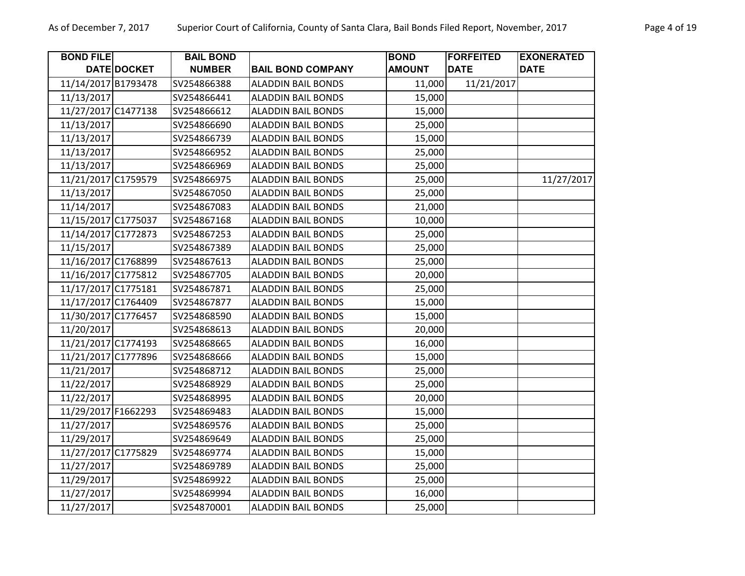| <b>BOND FILE</b>    |             | <b>BAIL BOND</b> |                           | <b>BOND</b>   | <b>FORFEITED</b> | <b>EXONERATED</b> |
|---------------------|-------------|------------------|---------------------------|---------------|------------------|-------------------|
|                     | DATE DOCKET | <b>NUMBER</b>    | <b>BAIL BOND COMPANY</b>  | <b>AMOUNT</b> | <b>DATE</b>      | <b>DATE</b>       |
| 11/14/2017 B1793478 |             | SV254866388      | <b>ALADDIN BAIL BONDS</b> | 11,000        | 11/21/2017       |                   |
| 11/13/2017          |             | SV254866441      | <b>ALADDIN BAIL BONDS</b> | 15,000        |                  |                   |
| 11/27/2017 C1477138 |             | SV254866612      | <b>ALADDIN BAIL BONDS</b> | 15,000        |                  |                   |
| 11/13/2017          |             | SV254866690      | <b>ALADDIN BAIL BONDS</b> | 25,000        |                  |                   |
| 11/13/2017          |             | SV254866739      | <b>ALADDIN BAIL BONDS</b> | 15,000        |                  |                   |
| 11/13/2017          |             | SV254866952      | <b>ALADDIN BAIL BONDS</b> | 25,000        |                  |                   |
| 11/13/2017          |             | SV254866969      | <b>ALADDIN BAIL BONDS</b> | 25,000        |                  |                   |
| 11/21/2017 C1759579 |             | SV254866975      | <b>ALADDIN BAIL BONDS</b> | 25,000        |                  | 11/27/2017        |
| 11/13/2017          |             | SV254867050      | <b>ALADDIN BAIL BONDS</b> | 25,000        |                  |                   |
| 11/14/2017          |             | SV254867083      | <b>ALADDIN BAIL BONDS</b> | 21,000        |                  |                   |
| 11/15/2017 C1775037 |             | SV254867168      | <b>ALADDIN BAIL BONDS</b> | 10,000        |                  |                   |
| 11/14/2017 C1772873 |             | SV254867253      | <b>ALADDIN BAIL BONDS</b> | 25,000        |                  |                   |
| 11/15/2017          |             | SV254867389      | <b>ALADDIN BAIL BONDS</b> | 25,000        |                  |                   |
| 11/16/2017 C1768899 |             | SV254867613      | <b>ALADDIN BAIL BONDS</b> | 25,000        |                  |                   |
| 11/16/2017 C1775812 |             | SV254867705      | <b>ALADDIN BAIL BONDS</b> | 20,000        |                  |                   |
| 11/17/2017 C1775181 |             | SV254867871      | <b>ALADDIN BAIL BONDS</b> | 25,000        |                  |                   |
| 11/17/2017 C1764409 |             | SV254867877      | <b>ALADDIN BAIL BONDS</b> | 15,000        |                  |                   |
| 11/30/2017 C1776457 |             | SV254868590      | <b>ALADDIN BAIL BONDS</b> | 15,000        |                  |                   |
| 11/20/2017          |             | SV254868613      | <b>ALADDIN BAIL BONDS</b> | 20,000        |                  |                   |
| 11/21/2017 C1774193 |             | SV254868665      | <b>ALADDIN BAIL BONDS</b> | 16,000        |                  |                   |
| 11/21/2017 C1777896 |             | SV254868666      | <b>ALADDIN BAIL BONDS</b> | 15,000        |                  |                   |
| 11/21/2017          |             | SV254868712      | <b>ALADDIN BAIL BONDS</b> | 25,000        |                  |                   |
| 11/22/2017          |             | SV254868929      | <b>ALADDIN BAIL BONDS</b> | 25,000        |                  |                   |
| 11/22/2017          |             | SV254868995      | <b>ALADDIN BAIL BONDS</b> | 20,000        |                  |                   |
| 11/29/2017 F1662293 |             | SV254869483      | <b>ALADDIN BAIL BONDS</b> | 15,000        |                  |                   |
| 11/27/2017          |             | SV254869576      | <b>ALADDIN BAIL BONDS</b> | 25,000        |                  |                   |
| 11/29/2017          |             | SV254869649      | <b>ALADDIN BAIL BONDS</b> | 25,000        |                  |                   |
| 11/27/2017 C1775829 |             | SV254869774      | <b>ALADDIN BAIL BONDS</b> | 15,000        |                  |                   |
| 11/27/2017          |             | SV254869789      | <b>ALADDIN BAIL BONDS</b> | 25,000        |                  |                   |
| 11/29/2017          |             | SV254869922      | <b>ALADDIN BAIL BONDS</b> | 25,000        |                  |                   |
| 11/27/2017          |             | SV254869994      | <b>ALADDIN BAIL BONDS</b> | 16,000        |                  |                   |
| 11/27/2017          |             | SV254870001      | <b>ALADDIN BAIL BONDS</b> | 25,000        |                  |                   |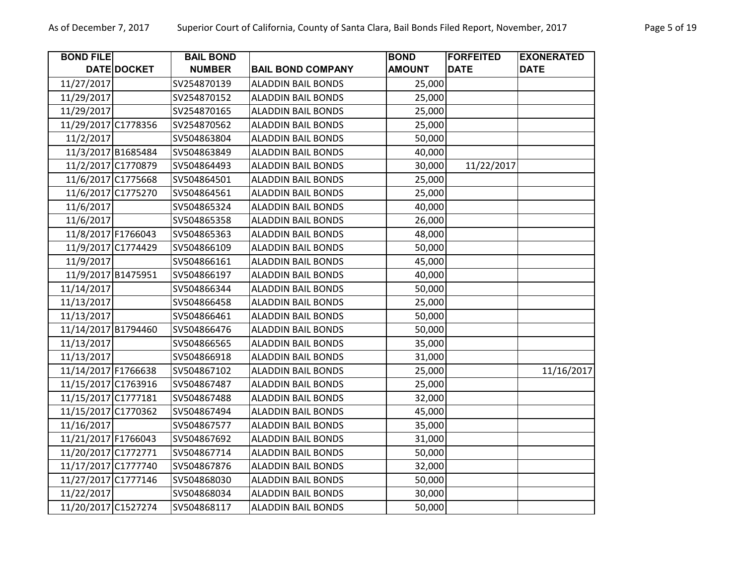| <b>BOND FILE</b>    | DATE DOCKET | <b>BAIL BOND</b><br><b>NUMBER</b> | <b>BAIL BOND COMPANY</b>  | <b>BOND</b><br><b>AMOUNT</b> | <b>FORFEITED</b><br><b>DATE</b> | <b>EXONERATED</b><br><b>DATE</b> |
|---------------------|-------------|-----------------------------------|---------------------------|------------------------------|---------------------------------|----------------------------------|
| 11/27/2017          |             | SV254870139                       | <b>ALADDIN BAIL BONDS</b> | 25,000                       |                                 |                                  |
| 11/29/2017          |             | SV254870152                       | <b>ALADDIN BAIL BONDS</b> | 25,000                       |                                 |                                  |
| 11/29/2017          |             | SV254870165                       | <b>ALADDIN BAIL BONDS</b> | 25,000                       |                                 |                                  |
| 11/29/2017 C1778356 |             | SV254870562                       | <b>ALADDIN BAIL BONDS</b> | 25,000                       |                                 |                                  |
| 11/2/2017           |             | SV504863804                       | <b>ALADDIN BAIL BONDS</b> | 50,000                       |                                 |                                  |
| 11/3/2017 B1685484  |             | SV504863849                       | <b>ALADDIN BAIL BONDS</b> | 40,000                       |                                 |                                  |
| 11/2/2017 C1770879  |             | SV504864493                       | <b>ALADDIN BAIL BONDS</b> | 30,000                       | 11/22/2017                      |                                  |
| 11/6/2017 C1775668  |             | SV504864501                       | <b>ALADDIN BAIL BONDS</b> | 25,000                       |                                 |                                  |
| 11/6/2017 C1775270  |             | SV504864561                       | <b>ALADDIN BAIL BONDS</b> | 25,000                       |                                 |                                  |
| 11/6/2017           |             | SV504865324                       | <b>ALADDIN BAIL BONDS</b> | 40,000                       |                                 |                                  |
| 11/6/2017           |             | SV504865358                       | <b>ALADDIN BAIL BONDS</b> | 26,000                       |                                 |                                  |
| 11/8/2017 F1766043  |             | SV504865363                       | <b>ALADDIN BAIL BONDS</b> | 48,000                       |                                 |                                  |
| 11/9/2017 C1774429  |             | SV504866109                       | <b>ALADDIN BAIL BONDS</b> | 50,000                       |                                 |                                  |
| 11/9/2017           |             | SV504866161                       | <b>ALADDIN BAIL BONDS</b> | 45,000                       |                                 |                                  |
| 11/9/2017 B1475951  |             | SV504866197                       | <b>ALADDIN BAIL BONDS</b> | 40,000                       |                                 |                                  |
| 11/14/2017          |             | SV504866344                       | <b>ALADDIN BAIL BONDS</b> | 50,000                       |                                 |                                  |
| 11/13/2017          |             | SV504866458                       | <b>ALADDIN BAIL BONDS</b> | 25,000                       |                                 |                                  |
| 11/13/2017          |             | SV504866461                       | <b>ALADDIN BAIL BONDS</b> | 50,000                       |                                 |                                  |
| 11/14/2017 B1794460 |             | SV504866476                       | <b>ALADDIN BAIL BONDS</b> | 50,000                       |                                 |                                  |
| 11/13/2017          |             | SV504866565                       | <b>ALADDIN BAIL BONDS</b> | 35,000                       |                                 |                                  |
| 11/13/2017          |             | SV504866918                       | <b>ALADDIN BAIL BONDS</b> | 31,000                       |                                 |                                  |
| 11/14/2017 F1766638 |             | SV504867102                       | <b>ALADDIN BAIL BONDS</b> | 25,000                       |                                 | 11/16/2017                       |
| 11/15/2017 C1763916 |             | SV504867487                       | <b>ALADDIN BAIL BONDS</b> | 25,000                       |                                 |                                  |
| 11/15/2017 C1777181 |             | SV504867488                       | <b>ALADDIN BAIL BONDS</b> | 32,000                       |                                 |                                  |
| 11/15/2017 C1770362 |             | SV504867494                       | <b>ALADDIN BAIL BONDS</b> | 45,000                       |                                 |                                  |
| 11/16/2017          |             | SV504867577                       | <b>ALADDIN BAIL BONDS</b> | 35,000                       |                                 |                                  |
| 11/21/2017 F1766043 |             | SV504867692                       | <b>ALADDIN BAIL BONDS</b> | 31,000                       |                                 |                                  |
| 11/20/2017 C1772771 |             | SV504867714                       | <b>ALADDIN BAIL BONDS</b> | 50,000                       |                                 |                                  |
| 11/17/2017 C1777740 |             | SV504867876                       | <b>ALADDIN BAIL BONDS</b> | 32,000                       |                                 |                                  |
| 11/27/2017 C1777146 |             | SV504868030                       | <b>ALADDIN BAIL BONDS</b> | 50,000                       |                                 |                                  |
| 11/22/2017          |             | SV504868034                       | <b>ALADDIN BAIL BONDS</b> | 30,000                       |                                 |                                  |
| 11/20/2017 C1527274 |             | SV504868117                       | <b>ALADDIN BAIL BONDS</b> | 50,000                       |                                 |                                  |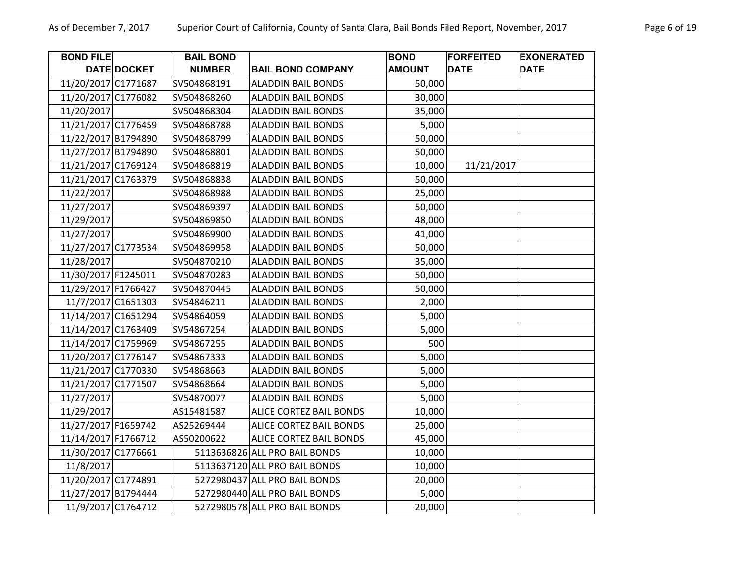| <b>BOND FILE</b>    | DATE DOCKET | <b>BAIL BOND</b><br><b>NUMBER</b> | <b>BAIL BOND COMPANY</b>      | <b>BOND</b><br><b>AMOUNT</b> | <b>FORFEITED</b><br><b>DATE</b> | <b>EXONERATED</b><br><b>DATE</b> |
|---------------------|-------------|-----------------------------------|-------------------------------|------------------------------|---------------------------------|----------------------------------|
| 11/20/2017 C1771687 |             | SV504868191                       | <b>ALADDIN BAIL BONDS</b>     | 50,000                       |                                 |                                  |
| 11/20/2017 C1776082 |             | SV504868260                       | <b>ALADDIN BAIL BONDS</b>     | 30,000                       |                                 |                                  |
| 11/20/2017          |             | SV504868304                       | <b>ALADDIN BAIL BONDS</b>     | 35,000                       |                                 |                                  |
| 11/21/2017 C1776459 |             | SV504868788                       | <b>ALADDIN BAIL BONDS</b>     | 5,000                        |                                 |                                  |
| 11/22/2017 B1794890 |             | SV504868799                       | <b>ALADDIN BAIL BONDS</b>     | 50,000                       |                                 |                                  |
| 11/27/2017 B1794890 |             | SV504868801                       | <b>ALADDIN BAIL BONDS</b>     | 50,000                       |                                 |                                  |
| 11/21/2017 C1769124 |             | SV504868819                       | <b>ALADDIN BAIL BONDS</b>     | 10,000                       | 11/21/2017                      |                                  |
| 11/21/2017 C1763379 |             | SV504868838                       | <b>ALADDIN BAIL BONDS</b>     | 50,000                       |                                 |                                  |
| 11/22/2017          |             | SV504868988                       | <b>ALADDIN BAIL BONDS</b>     | 25,000                       |                                 |                                  |
| 11/27/2017          |             | SV504869397                       | <b>ALADDIN BAIL BONDS</b>     | 50,000                       |                                 |                                  |
| 11/29/2017          |             | SV504869850                       | <b>ALADDIN BAIL BONDS</b>     | 48,000                       |                                 |                                  |
| 11/27/2017          |             | SV504869900                       | <b>ALADDIN BAIL BONDS</b>     | 41,000                       |                                 |                                  |
| 11/27/2017 C1773534 |             | SV504869958                       | <b>ALADDIN BAIL BONDS</b>     | 50,000                       |                                 |                                  |
| 11/28/2017          |             | SV504870210                       | <b>ALADDIN BAIL BONDS</b>     | 35,000                       |                                 |                                  |
| 11/30/2017 F1245011 |             | SV504870283                       | <b>ALADDIN BAIL BONDS</b>     | 50,000                       |                                 |                                  |
| 11/29/2017 F1766427 |             | SV504870445                       | <b>ALADDIN BAIL BONDS</b>     | 50,000                       |                                 |                                  |
| 11/7/2017 C1651303  |             | SV54846211                        | <b>ALADDIN BAIL BONDS</b>     | 2,000                        |                                 |                                  |
| 11/14/2017 C1651294 |             | SV54864059                        | <b>ALADDIN BAIL BONDS</b>     | 5,000                        |                                 |                                  |
| 11/14/2017 C1763409 |             | SV54867254                        | <b>ALADDIN BAIL BONDS</b>     | 5,000                        |                                 |                                  |
| 11/14/2017 C1759969 |             | SV54867255                        | <b>ALADDIN BAIL BONDS</b>     | 500                          |                                 |                                  |
| 11/20/2017 C1776147 |             | SV54867333                        | <b>ALADDIN BAIL BONDS</b>     | 5,000                        |                                 |                                  |
| 11/21/2017 C1770330 |             | SV54868663                        | <b>ALADDIN BAIL BONDS</b>     | 5,000                        |                                 |                                  |
| 11/21/2017 C1771507 |             | SV54868664                        | <b>ALADDIN BAIL BONDS</b>     | 5,000                        |                                 |                                  |
| 11/27/2017          |             | SV54870077                        | <b>ALADDIN BAIL BONDS</b>     | 5,000                        |                                 |                                  |
| 11/29/2017          |             | AS15481587                        | ALICE CORTEZ BAIL BONDS       | 10,000                       |                                 |                                  |
| 11/27/2017 F1659742 |             | AS25269444                        | ALICE CORTEZ BAIL BONDS       | 25,000                       |                                 |                                  |
| 11/14/2017 F1766712 |             | AS50200622                        | ALICE CORTEZ BAIL BONDS       | 45,000                       |                                 |                                  |
| 11/30/2017 C1776661 |             |                                   | 5113636826 ALL PRO BAIL BONDS | 10,000                       |                                 |                                  |
| 11/8/2017           |             |                                   | 5113637120 ALL PRO BAIL BONDS | 10,000                       |                                 |                                  |
| 11/20/2017 C1774891 |             |                                   | 5272980437 ALL PRO BAIL BONDS | 20,000                       |                                 |                                  |
| 11/27/2017 B1794444 |             |                                   | 5272980440 ALL PRO BAIL BONDS | 5,000                        |                                 |                                  |
| 11/9/2017 C1764712  |             |                                   | 5272980578 ALL PRO BAIL BONDS | 20,000                       |                                 |                                  |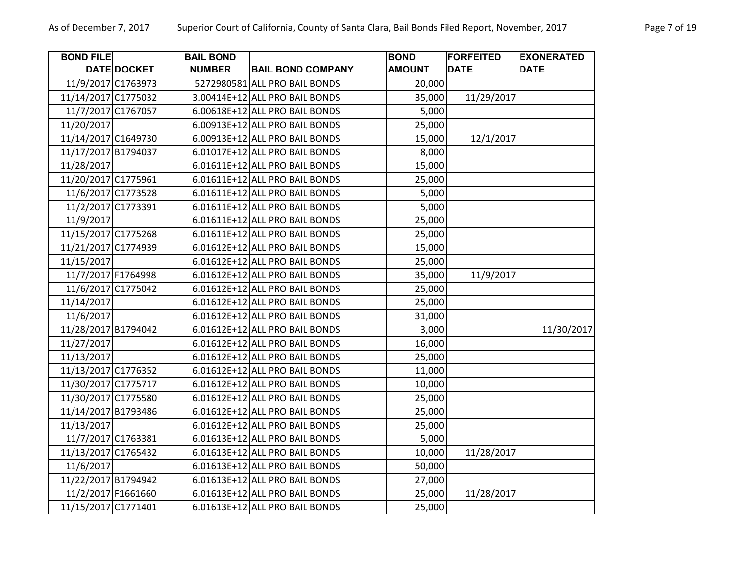| <b>BOND FILE</b>    | DATE DOCKET | <b>BAIL BOND</b><br><b>NUMBER</b> | <b>BAIL BOND COMPANY</b>       | <b>BOND</b><br><b>AMOUNT</b> | <b>FORFEITED</b><br><b>DATE</b> | <b>EXONERATED</b><br><b>DATE</b> |
|---------------------|-------------|-----------------------------------|--------------------------------|------------------------------|---------------------------------|----------------------------------|
| 11/9/2017 C1763973  |             |                                   | 5272980581 ALL PRO BAIL BONDS  | 20,000                       |                                 |                                  |
| 11/14/2017 C1775032 |             |                                   | 3.00414E+12 ALL PRO BAIL BONDS | 35,000                       | 11/29/2017                      |                                  |
| 11/7/2017 C1767057  |             |                                   | 6.00618E+12 ALL PRO BAIL BONDS | 5,000                        |                                 |                                  |
| 11/20/2017          |             |                                   | 6.00913E+12 ALL PRO BAIL BONDS | 25,000                       |                                 |                                  |
| 11/14/2017 C1649730 |             |                                   | 6.00913E+12 ALL PRO BAIL BONDS | 15,000                       | 12/1/2017                       |                                  |
| 11/17/2017 B1794037 |             |                                   | 6.01017E+12 ALL PRO BAIL BONDS | 8,000                        |                                 |                                  |
| 11/28/2017          |             |                                   | 6.01611E+12 ALL PRO BAIL BONDS | 15,000                       |                                 |                                  |
| 11/20/2017 C1775961 |             |                                   | 6.01611E+12 ALL PRO BAIL BONDS | 25,000                       |                                 |                                  |
| 11/6/2017 C1773528  |             |                                   | 6.01611E+12 ALL PRO BAIL BONDS | 5,000                        |                                 |                                  |
| 11/2/2017 C1773391  |             |                                   | 6.01611E+12 ALL PRO BAIL BONDS | 5,000                        |                                 |                                  |
| 11/9/2017           |             |                                   | 6.01611E+12 ALL PRO BAIL BONDS | 25,000                       |                                 |                                  |
| 11/15/2017 C1775268 |             |                                   | 6.01611E+12 ALL PRO BAIL BONDS | 25,000                       |                                 |                                  |
| 11/21/2017 C1774939 |             |                                   | 6.01612E+12 ALL PRO BAIL BONDS | 15,000                       |                                 |                                  |
| 11/15/2017          |             |                                   | 6.01612E+12 ALL PRO BAIL BONDS | 25,000                       |                                 |                                  |
| 11/7/2017 F1764998  |             |                                   | 6.01612E+12 ALL PRO BAIL BONDS | 35,000                       | 11/9/2017                       |                                  |
| 11/6/2017 C1775042  |             |                                   | 6.01612E+12 ALL PRO BAIL BONDS | 25,000                       |                                 |                                  |
| 11/14/2017          |             |                                   | 6.01612E+12 ALL PRO BAIL BONDS | 25,000                       |                                 |                                  |
| 11/6/2017           |             |                                   | 6.01612E+12 ALL PRO BAIL BONDS | 31,000                       |                                 |                                  |
| 11/28/2017 B1794042 |             |                                   | 6.01612E+12 ALL PRO BAIL BONDS | 3,000                        |                                 | 11/30/2017                       |
| 11/27/2017          |             |                                   | 6.01612E+12 ALL PRO BAIL BONDS | 16,000                       |                                 |                                  |
| 11/13/2017          |             |                                   | 6.01612E+12 ALL PRO BAIL BONDS | 25,000                       |                                 |                                  |
| 11/13/2017 C1776352 |             |                                   | 6.01612E+12 ALL PRO BAIL BONDS | 11,000                       |                                 |                                  |
| 11/30/2017 C1775717 |             |                                   | 6.01612E+12 ALL PRO BAIL BONDS | 10,000                       |                                 |                                  |
| 11/30/2017 C1775580 |             |                                   | 6.01612E+12 ALL PRO BAIL BONDS | 25,000                       |                                 |                                  |
| 11/14/2017 B1793486 |             |                                   | 6.01612E+12 ALL PRO BAIL BONDS | 25,000                       |                                 |                                  |
| 11/13/2017          |             |                                   | 6.01612E+12 ALL PRO BAIL BONDS | 25,000                       |                                 |                                  |
| 11/7/2017 C1763381  |             |                                   | 6.01613E+12 ALL PRO BAIL BONDS | 5,000                        |                                 |                                  |
| 11/13/2017 C1765432 |             |                                   | 6.01613E+12 ALL PRO BAIL BONDS | 10,000                       | 11/28/2017                      |                                  |
| 11/6/2017           |             |                                   | 6.01613E+12 ALL PRO BAIL BONDS | 50,000                       |                                 |                                  |
| 11/22/2017 B1794942 |             |                                   | 6.01613E+12 ALL PRO BAIL BONDS | 27,000                       |                                 |                                  |
| 11/2/2017 F1661660  |             |                                   | 6.01613E+12 ALL PRO BAIL BONDS | 25,000                       | 11/28/2017                      |                                  |
| 11/15/2017 C1771401 |             |                                   | 6.01613E+12 ALL PRO BAIL BONDS | 25,000                       |                                 |                                  |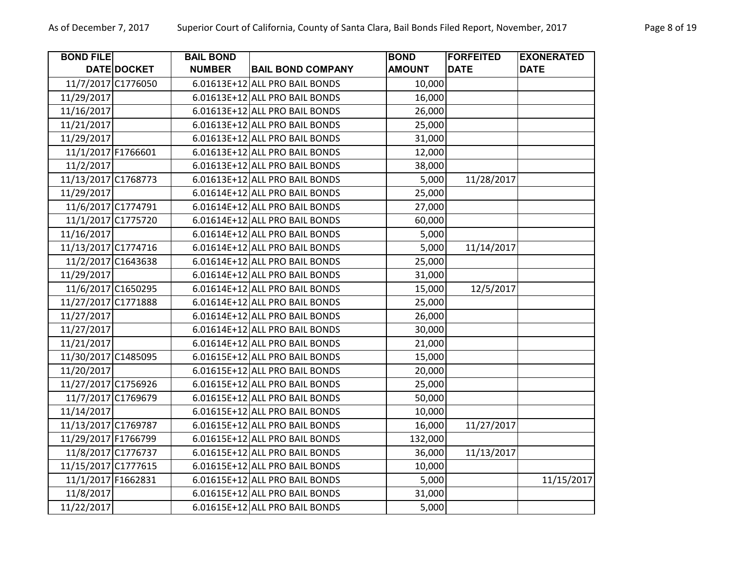| <b>BOND FILE</b>    | DATE DOCKET | <b>BAIL BOND</b><br><b>NUMBER</b> | <b>BAIL BOND COMPANY</b>       | <b>BOND</b><br><b>AMOUNT</b> | <b>FORFEITED</b><br><b>DATE</b> | <b>EXONERATED</b><br><b>DATE</b> |
|---------------------|-------------|-----------------------------------|--------------------------------|------------------------------|---------------------------------|----------------------------------|
| 11/7/2017 C1776050  |             |                                   | 6.01613E+12 ALL PRO BAIL BONDS | 10,000                       |                                 |                                  |
| 11/29/2017          |             |                                   | 6.01613E+12 ALL PRO BAIL BONDS | 16,000                       |                                 |                                  |
| 11/16/2017          |             |                                   | 6.01613E+12 ALL PRO BAIL BONDS | 26,000                       |                                 |                                  |
| 11/21/2017          |             |                                   | 6.01613E+12 ALL PRO BAIL BONDS | 25,000                       |                                 |                                  |
| 11/29/2017          |             |                                   | 6.01613E+12 ALL PRO BAIL BONDS | 31,000                       |                                 |                                  |
| 11/1/2017 F1766601  |             |                                   | 6.01613E+12 ALL PRO BAIL BONDS | 12,000                       |                                 |                                  |
| 11/2/2017           |             |                                   | 6.01613E+12 ALL PRO BAIL BONDS | 38,000                       |                                 |                                  |
| 11/13/2017 C1768773 |             |                                   | 6.01613E+12 ALL PRO BAIL BONDS | 5,000                        | 11/28/2017                      |                                  |
| 11/29/2017          |             |                                   | 6.01614E+12 ALL PRO BAIL BONDS | 25,000                       |                                 |                                  |
| 11/6/2017 C1774791  |             |                                   | 6.01614E+12 ALL PRO BAIL BONDS | 27,000                       |                                 |                                  |
| 11/1/2017 C1775720  |             |                                   | 6.01614E+12 ALL PRO BAIL BONDS | 60,000                       |                                 |                                  |
| 11/16/2017          |             |                                   | 6.01614E+12 ALL PRO BAIL BONDS | 5,000                        |                                 |                                  |
| 11/13/2017 C1774716 |             |                                   | 6.01614E+12 ALL PRO BAIL BONDS | 5,000                        | 11/14/2017                      |                                  |
| 11/2/2017 C1643638  |             |                                   | 6.01614E+12 ALL PRO BAIL BONDS | 25,000                       |                                 |                                  |
| 11/29/2017          |             |                                   | 6.01614E+12 ALL PRO BAIL BONDS | 31,000                       |                                 |                                  |
| 11/6/2017 C1650295  |             |                                   | 6.01614E+12 ALL PRO BAIL BONDS | 15,000                       | 12/5/2017                       |                                  |
| 11/27/2017 C1771888 |             |                                   | 6.01614E+12 ALL PRO BAIL BONDS | 25,000                       |                                 |                                  |
| 11/27/2017          |             |                                   | 6.01614E+12 ALL PRO BAIL BONDS | 26,000                       |                                 |                                  |
| 11/27/2017          |             |                                   | 6.01614E+12 ALL PRO BAIL BONDS | 30,000                       |                                 |                                  |
| 11/21/2017          |             |                                   | 6.01614E+12 ALL PRO BAIL BONDS | 21,000                       |                                 |                                  |
| 11/30/2017 C1485095 |             |                                   | 6.01615E+12 ALL PRO BAIL BONDS | 15,000                       |                                 |                                  |
| 11/20/2017          |             |                                   | 6.01615E+12 ALL PRO BAIL BONDS | 20,000                       |                                 |                                  |
| 11/27/2017 C1756926 |             |                                   | 6.01615E+12 ALL PRO BAIL BONDS | 25,000                       |                                 |                                  |
| 11/7/2017 C1769679  |             |                                   | 6.01615E+12 ALL PRO BAIL BONDS | 50,000                       |                                 |                                  |
| 11/14/2017          |             |                                   | 6.01615E+12 ALL PRO BAIL BONDS | 10,000                       |                                 |                                  |
| 11/13/2017 C1769787 |             |                                   | 6.01615E+12 ALL PRO BAIL BONDS | 16,000                       | 11/27/2017                      |                                  |
| 11/29/2017 F1766799 |             |                                   | 6.01615E+12 ALL PRO BAIL BONDS | 132,000                      |                                 |                                  |
| 11/8/2017 C1776737  |             |                                   | 6.01615E+12 ALL PRO BAIL BONDS | 36,000                       | 11/13/2017                      |                                  |
| 11/15/2017 C1777615 |             |                                   | 6.01615E+12 ALL PRO BAIL BONDS | 10,000                       |                                 |                                  |
| 11/1/2017 F1662831  |             |                                   | 6.01615E+12 ALL PRO BAIL BONDS | 5,000                        |                                 | 11/15/2017                       |
| 11/8/2017           |             |                                   | 6.01615E+12 ALL PRO BAIL BONDS | 31,000                       |                                 |                                  |
| 11/22/2017          |             |                                   | 6.01615E+12 ALL PRO BAIL BONDS | 5,000                        |                                 |                                  |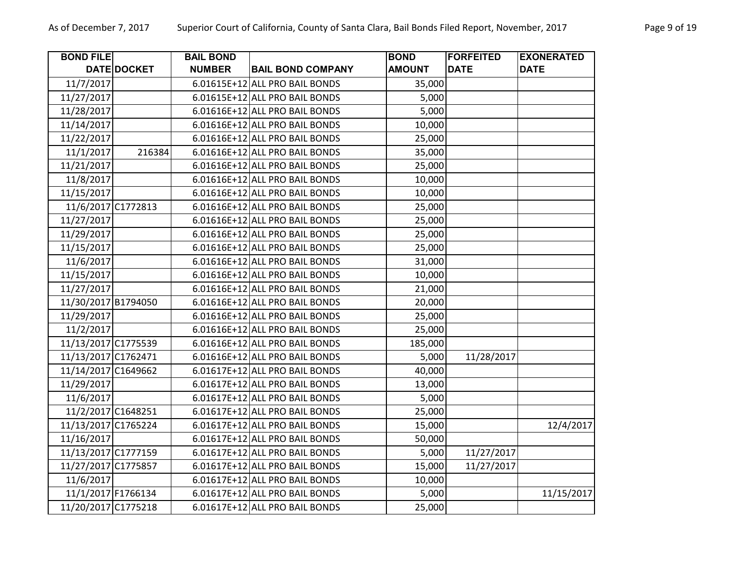| <b>BOND FILE</b>    |                    | <b>BAIL BOND</b> |                                | <b>BOND</b>   | <b>FORFEITED</b> | <b>EXONERATED</b> |
|---------------------|--------------------|------------------|--------------------------------|---------------|------------------|-------------------|
|                     | DATE DOCKET        | <b>NUMBER</b>    | <b>BAIL BOND COMPANY</b>       | <b>AMOUNT</b> | <b>DATE</b>      | <b>DATE</b>       |
| 11/7/2017           |                    |                  | 6.01615E+12 ALL PRO BAIL BONDS | 35,000        |                  |                   |
| 11/27/2017          |                    |                  | 6.01615E+12 ALL PRO BAIL BONDS | 5,000         |                  |                   |
| 11/28/2017          |                    |                  | 6.01616E+12 ALL PRO BAIL BONDS | 5,000         |                  |                   |
| 11/14/2017          |                    |                  | 6.01616E+12 ALL PRO BAIL BONDS | 10,000        |                  |                   |
| 11/22/2017          |                    |                  | 6.01616E+12 ALL PRO BAIL BONDS | 25,000        |                  |                   |
| 11/1/2017           | 216384             |                  | 6.01616E+12 ALL PRO BAIL BONDS | 35,000        |                  |                   |
| 11/21/2017          |                    |                  | 6.01616E+12 ALL PRO BAIL BONDS | 25,000        |                  |                   |
| 11/8/2017           |                    |                  | 6.01616E+12 ALL PRO BAIL BONDS | 10,000        |                  |                   |
| 11/15/2017          |                    |                  | 6.01616E+12 ALL PRO BAIL BONDS | 10,000        |                  |                   |
|                     | 11/6/2017 C1772813 |                  | 6.01616E+12 ALL PRO BAIL BONDS | 25,000        |                  |                   |
| 11/27/2017          |                    |                  | 6.01616E+12 ALL PRO BAIL BONDS | 25,000        |                  |                   |
| 11/29/2017          |                    |                  | 6.01616E+12 ALL PRO BAIL BONDS | 25,000        |                  |                   |
| 11/15/2017          |                    |                  | 6.01616E+12 ALL PRO BAIL BONDS | 25,000        |                  |                   |
| 11/6/2017           |                    |                  | 6.01616E+12 ALL PRO BAIL BONDS | 31,000        |                  |                   |
| 11/15/2017          |                    |                  | 6.01616E+12 ALL PRO BAIL BONDS | 10,000        |                  |                   |
| 11/27/2017          |                    |                  | 6.01616E+12 ALL PRO BAIL BONDS | 21,000        |                  |                   |
| 11/30/2017 B1794050 |                    |                  | 6.01616E+12 ALL PRO BAIL BONDS | 20,000        |                  |                   |
| 11/29/2017          |                    |                  | 6.01616E+12 ALL PRO BAIL BONDS | 25,000        |                  |                   |
| 11/2/2017           |                    |                  | 6.01616E+12 ALL PRO BAIL BONDS | 25,000        |                  |                   |
| 11/13/2017 C1775539 |                    |                  | 6.01616E+12 ALL PRO BAIL BONDS | 185,000       |                  |                   |
| 11/13/2017 C1762471 |                    |                  | 6.01616E+12 ALL PRO BAIL BONDS | 5,000         | 11/28/2017       |                   |
| 11/14/2017 C1649662 |                    |                  | 6.01617E+12 ALL PRO BAIL BONDS | 40,000        |                  |                   |
| 11/29/2017          |                    |                  | 6.01617E+12 ALL PRO BAIL BONDS | 13,000        |                  |                   |
| 11/6/2017           |                    |                  | 6.01617E+12 ALL PRO BAIL BONDS | 5,000         |                  |                   |
|                     | 11/2/2017 C1648251 |                  | 6.01617E+12 ALL PRO BAIL BONDS | 25,000        |                  |                   |
| 11/13/2017 C1765224 |                    |                  | 6.01617E+12 ALL PRO BAIL BONDS | 15,000        |                  | 12/4/2017         |
| 11/16/2017          |                    |                  | 6.01617E+12 ALL PRO BAIL BONDS | 50,000        |                  |                   |
| 11/13/2017 C1777159 |                    |                  | 6.01617E+12 ALL PRO BAIL BONDS | 5,000         | 11/27/2017       |                   |
| 11/27/2017 C1775857 |                    |                  | 6.01617E+12 ALL PRO BAIL BONDS | 15,000        | 11/27/2017       |                   |
| 11/6/2017           |                    |                  | 6.01617E+12 ALL PRO BAIL BONDS | 10,000        |                  |                   |
|                     | 11/1/2017 F1766134 |                  | 6.01617E+12 ALL PRO BAIL BONDS | 5,000         |                  | 11/15/2017        |
| 11/20/2017 C1775218 |                    |                  | 6.01617E+12 ALL PRO BAIL BONDS | 25,000        |                  |                   |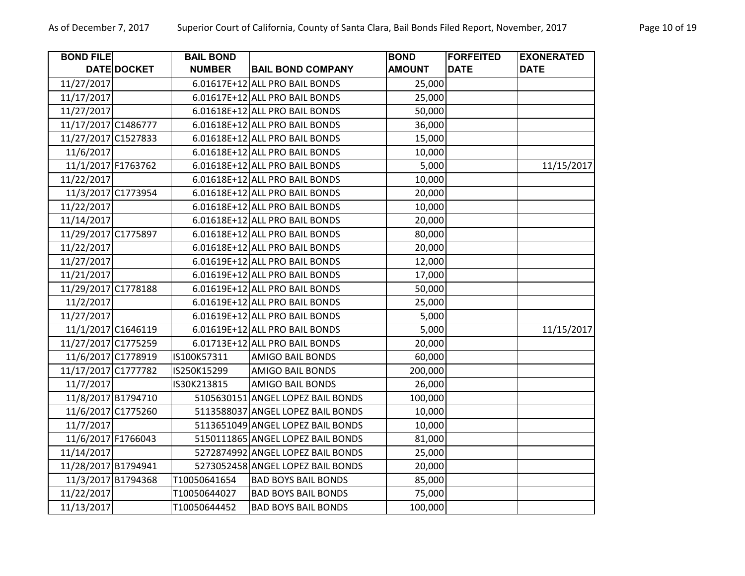| <b>BOND FILE</b>    |                    | <b>BAIL BOND</b> |                                   | <b>BOND</b>   | <b>FORFEITED</b> | <b>EXONERATED</b> |
|---------------------|--------------------|------------------|-----------------------------------|---------------|------------------|-------------------|
|                     | DATE DOCKET        | <b>NUMBER</b>    | <b>BAIL BOND COMPANY</b>          | <b>AMOUNT</b> | <b>DATE</b>      | <b>DATE</b>       |
| 11/27/2017          |                    |                  | 6.01617E+12 ALL PRO BAIL BONDS    | 25,000        |                  |                   |
| 11/17/2017          |                    |                  | 6.01617E+12 ALL PRO BAIL BONDS    | 25,000        |                  |                   |
| 11/27/2017          |                    |                  | 6.01618E+12 ALL PRO BAIL BONDS    | 50,000        |                  |                   |
| 11/17/2017 C1486777 |                    |                  | 6.01618E+12 ALL PRO BAIL BONDS    | 36,000        |                  |                   |
| 11/27/2017 C1527833 |                    |                  | 6.01618E+12 ALL PRO BAIL BONDS    | 15,000        |                  |                   |
| 11/6/2017           |                    |                  | 6.01618E+12 ALL PRO BAIL BONDS    | 10,000        |                  |                   |
| 11/1/2017 F1763762  |                    |                  | 6.01618E+12 ALL PRO BAIL BONDS    | 5,000         |                  | 11/15/2017        |
| 11/22/2017          |                    |                  | 6.01618E+12 ALL PRO BAIL BONDS    | 10,000        |                  |                   |
| 11/3/2017 C1773954  |                    |                  | 6.01618E+12 ALL PRO BAIL BONDS    | 20,000        |                  |                   |
| 11/22/2017          |                    |                  | 6.01618E+12 ALL PRO BAIL BONDS    | 10,000        |                  |                   |
| 11/14/2017          |                    |                  | 6.01618E+12 ALL PRO BAIL BONDS    | 20,000        |                  |                   |
| 11/29/2017 C1775897 |                    |                  | 6.01618E+12 ALL PRO BAIL BONDS    | 80,000        |                  |                   |
| 11/22/2017          |                    |                  | 6.01618E+12 ALL PRO BAIL BONDS    | 20,000        |                  |                   |
| 11/27/2017          |                    |                  | 6.01619E+12 ALL PRO BAIL BONDS    | 12,000        |                  |                   |
| 11/21/2017          |                    |                  | 6.01619E+12 ALL PRO BAIL BONDS    | 17,000        |                  |                   |
| 11/29/2017 C1778188 |                    |                  | 6.01619E+12 ALL PRO BAIL BONDS    | 50,000        |                  |                   |
| 11/2/2017           |                    |                  | 6.01619E+12 ALL PRO BAIL BONDS    | 25,000        |                  |                   |
| 11/27/2017          |                    |                  | 6.01619E+12 ALL PRO BAIL BONDS    | 5,000         |                  |                   |
|                     | 11/1/2017 C1646119 |                  | 6.01619E+12 ALL PRO BAIL BONDS    | 5,000         |                  | 11/15/2017        |
| 11/27/2017 C1775259 |                    |                  | 6.01713E+12 ALL PRO BAIL BONDS    | 20,000        |                  |                   |
|                     | 11/6/2017 C1778919 | IS100K57311      | <b>AMIGO BAIL BONDS</b>           | 60,000        |                  |                   |
| 11/17/2017 C1777782 |                    | IS250K15299      | <b>AMIGO BAIL BONDS</b>           | 200,000       |                  |                   |
| 11/7/2017           |                    | IS30K213815      | <b>AMIGO BAIL BONDS</b>           | 26,000        |                  |                   |
|                     | 11/8/2017 B1794710 |                  | 5105630151 ANGEL LOPEZ BAIL BONDS | 100,000       |                  |                   |
|                     | 11/6/2017 C1775260 |                  | 5113588037 ANGEL LOPEZ BAIL BONDS | 10,000        |                  |                   |
| 11/7/2017           |                    |                  | 5113651049 ANGEL LOPEZ BAIL BONDS | 10,000        |                  |                   |
| 11/6/2017 F1766043  |                    |                  | 5150111865 ANGEL LOPEZ BAIL BONDS | 81,000        |                  |                   |
| 11/14/2017          |                    |                  | 5272874992 ANGEL LOPEZ BAIL BONDS | 25,000        |                  |                   |
| 11/28/2017 B1794941 |                    |                  | 5273052458 ANGEL LOPEZ BAIL BONDS | 20,000        |                  |                   |
|                     | 11/3/2017 B1794368 | T10050641654     | <b>BAD BOYS BAIL BONDS</b>        | 85,000        |                  |                   |
| 11/22/2017          |                    | T10050644027     | <b>BAD BOYS BAIL BONDS</b>        | 75,000        |                  |                   |
| 11/13/2017          |                    | T10050644452     | <b>BAD BOYS BAIL BONDS</b>        | 100,000       |                  |                   |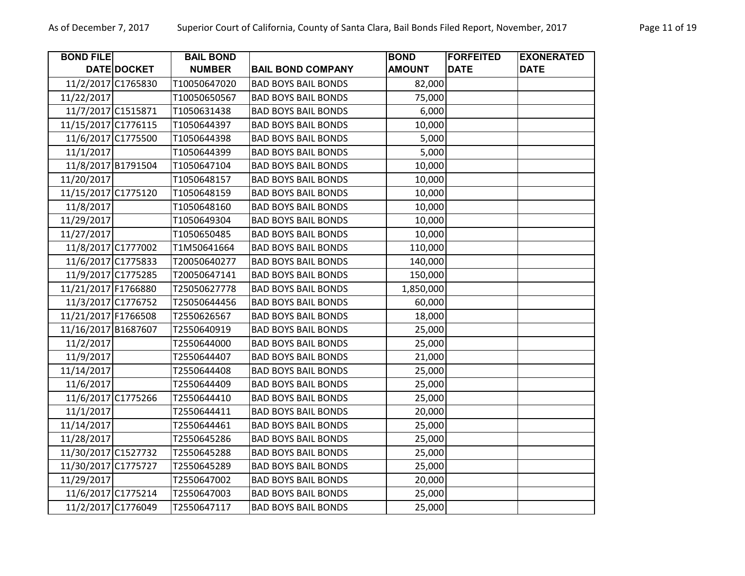| <b>BOND FILE</b>    |             | <b>BAIL BOND</b> |                            | <b>BOND</b>   | <b>FORFEITED</b> | <b>EXONERATED</b> |
|---------------------|-------------|------------------|----------------------------|---------------|------------------|-------------------|
|                     | DATE DOCKET | <b>NUMBER</b>    | <b>BAIL BOND COMPANY</b>   | <b>AMOUNT</b> | <b>DATE</b>      | <b>DATE</b>       |
| 11/2/2017 C1765830  |             | T10050647020     | <b>BAD BOYS BAIL BONDS</b> | 82,000        |                  |                   |
| 11/22/2017          |             | T10050650567     | <b>BAD BOYS BAIL BONDS</b> | 75,000        |                  |                   |
| 11/7/2017 C1515871  |             | T1050631438      | <b>BAD BOYS BAIL BONDS</b> | 6,000         |                  |                   |
| 11/15/2017 C1776115 |             | T1050644397      | <b>BAD BOYS BAIL BONDS</b> | 10,000        |                  |                   |
| 11/6/2017 C1775500  |             | T1050644398      | <b>BAD BOYS BAIL BONDS</b> | 5,000         |                  |                   |
| 11/1/2017           |             | T1050644399      | <b>BAD BOYS BAIL BONDS</b> | 5,000         |                  |                   |
| 11/8/2017 B1791504  |             | T1050647104      | <b>BAD BOYS BAIL BONDS</b> | 10,000        |                  |                   |
| 11/20/2017          |             | T1050648157      | <b>BAD BOYS BAIL BONDS</b> | 10,000        |                  |                   |
| 11/15/2017 C1775120 |             | T1050648159      | <b>BAD BOYS BAIL BONDS</b> | 10,000        |                  |                   |
| 11/8/2017           |             | T1050648160      | <b>BAD BOYS BAIL BONDS</b> | 10,000        |                  |                   |
| 11/29/2017          |             | T1050649304      | <b>BAD BOYS BAIL BONDS</b> | 10,000        |                  |                   |
| 11/27/2017          |             | T1050650485      | <b>BAD BOYS BAIL BONDS</b> | 10,000        |                  |                   |
| 11/8/2017 C1777002  |             | T1M50641664      | <b>BAD BOYS BAIL BONDS</b> | 110,000       |                  |                   |
| 11/6/2017 C1775833  |             | T20050640277     | <b>BAD BOYS BAIL BONDS</b> | 140,000       |                  |                   |
| 11/9/2017 C1775285  |             | T20050647141     | <b>BAD BOYS BAIL BONDS</b> | 150,000       |                  |                   |
| 11/21/2017 F1766880 |             | T25050627778     | <b>BAD BOYS BAIL BONDS</b> | 1,850,000     |                  |                   |
| 11/3/2017 C1776752  |             | T25050644456     | <b>BAD BOYS BAIL BONDS</b> | 60,000        |                  |                   |
| 11/21/2017 F1766508 |             | T2550626567      | <b>BAD BOYS BAIL BONDS</b> | 18,000        |                  |                   |
| 11/16/2017 B1687607 |             | T2550640919      | <b>BAD BOYS BAIL BONDS</b> | 25,000        |                  |                   |
| 11/2/2017           |             | T2550644000      | <b>BAD BOYS BAIL BONDS</b> | 25,000        |                  |                   |
| 11/9/2017           |             | T2550644407      | <b>BAD BOYS BAIL BONDS</b> | 21,000        |                  |                   |
| 11/14/2017          |             | T2550644408      | <b>BAD BOYS BAIL BONDS</b> | 25,000        |                  |                   |
| 11/6/2017           |             | T2550644409      | <b>BAD BOYS BAIL BONDS</b> | 25,000        |                  |                   |
| 11/6/2017 C1775266  |             | T2550644410      | <b>BAD BOYS BAIL BONDS</b> | 25,000        |                  |                   |
| 11/1/2017           |             | T2550644411      | <b>BAD BOYS BAIL BONDS</b> | 20,000        |                  |                   |
| 11/14/2017          |             | T2550644461      | <b>BAD BOYS BAIL BONDS</b> | 25,000        |                  |                   |
| 11/28/2017          |             | T2550645286      | <b>BAD BOYS BAIL BONDS</b> | 25,000        |                  |                   |
| 11/30/2017 C1527732 |             | T2550645288      | <b>BAD BOYS BAIL BONDS</b> | 25,000        |                  |                   |
| 11/30/2017 C1775727 |             | T2550645289      | <b>BAD BOYS BAIL BONDS</b> | 25,000        |                  |                   |
| 11/29/2017          |             | T2550647002      | <b>BAD BOYS BAIL BONDS</b> | 20,000        |                  |                   |
| 11/6/2017 C1775214  |             | T2550647003      | <b>BAD BOYS BAIL BONDS</b> | 25,000        |                  |                   |
| 11/2/2017 C1776049  |             | T2550647117      | <b>BAD BOYS BAIL BONDS</b> | 25,000        |                  |                   |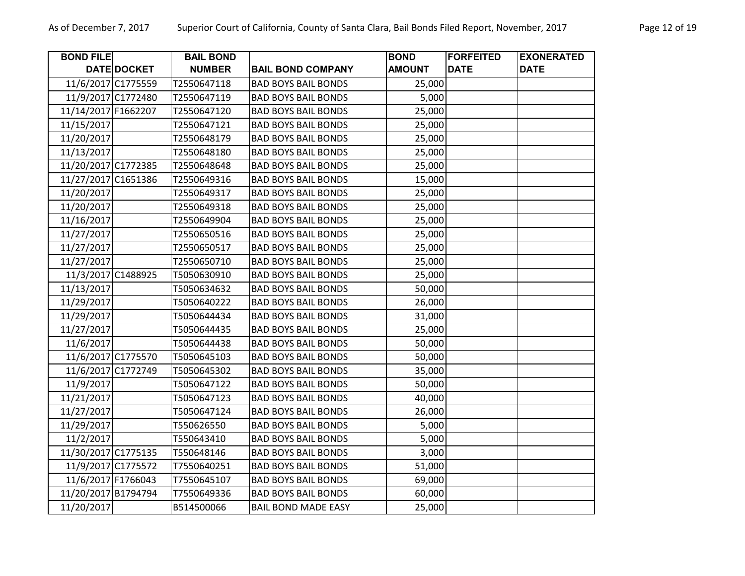| <b>BOND FILE</b>    |                    | <b>BAIL BOND</b> |                            | <b>BOND</b>   | <b>FORFEITED</b> | <b>EXONERATED</b> |
|---------------------|--------------------|------------------|----------------------------|---------------|------------------|-------------------|
|                     | DATE DOCKET        | <b>NUMBER</b>    | <b>BAIL BOND COMPANY</b>   | <b>AMOUNT</b> | <b>DATE</b>      | <b>DATE</b>       |
|                     | 11/6/2017 C1775559 | T2550647118      | <b>BAD BOYS BAIL BONDS</b> | 25,000        |                  |                   |
|                     | 11/9/2017 C1772480 | T2550647119      | <b>BAD BOYS BAIL BONDS</b> | 5,000         |                  |                   |
| 11/14/2017 F1662207 |                    | T2550647120      | <b>BAD BOYS BAIL BONDS</b> | 25,000        |                  |                   |
| 11/15/2017          |                    | T2550647121      | <b>BAD BOYS BAIL BONDS</b> | 25,000        |                  |                   |
| 11/20/2017          |                    | T2550648179      | <b>BAD BOYS BAIL BONDS</b> | 25,000        |                  |                   |
| 11/13/2017          |                    | T2550648180      | <b>BAD BOYS BAIL BONDS</b> | 25,000        |                  |                   |
| 11/20/2017 C1772385 |                    | T2550648648      | <b>BAD BOYS BAIL BONDS</b> | 25,000        |                  |                   |
| 11/27/2017 C1651386 |                    | T2550649316      | <b>BAD BOYS BAIL BONDS</b> | 15,000        |                  |                   |
| 11/20/2017          |                    | T2550649317      | <b>BAD BOYS BAIL BONDS</b> | 25,000        |                  |                   |
| 11/20/2017          |                    | T2550649318      | <b>BAD BOYS BAIL BONDS</b> | 25,000        |                  |                   |
| 11/16/2017          |                    | T2550649904      | <b>BAD BOYS BAIL BONDS</b> | 25,000        |                  |                   |
| 11/27/2017          |                    | T2550650516      | <b>BAD BOYS BAIL BONDS</b> | 25,000        |                  |                   |
| 11/27/2017          |                    | T2550650517      | <b>BAD BOYS BAIL BONDS</b> | 25,000        |                  |                   |
| 11/27/2017          |                    | T2550650710      | <b>BAD BOYS BAIL BONDS</b> | 25,000        |                  |                   |
|                     | 11/3/2017 C1488925 | T5050630910      | <b>BAD BOYS BAIL BONDS</b> | 25,000        |                  |                   |
| 11/13/2017          |                    | T5050634632      | <b>BAD BOYS BAIL BONDS</b> | 50,000        |                  |                   |
| 11/29/2017          |                    | T5050640222      | <b>BAD BOYS BAIL BONDS</b> | 26,000        |                  |                   |
| 11/29/2017          |                    | T5050644434      | <b>BAD BOYS BAIL BONDS</b> | 31,000        |                  |                   |
| 11/27/2017          |                    | T5050644435      | <b>BAD BOYS BAIL BONDS</b> | 25,000        |                  |                   |
| 11/6/2017           |                    | T5050644438      | <b>BAD BOYS BAIL BONDS</b> | 50,000        |                  |                   |
|                     | 11/6/2017 C1775570 | T5050645103      | <b>BAD BOYS BAIL BONDS</b> | 50,000        |                  |                   |
|                     | 11/6/2017 C1772749 | T5050645302      | <b>BAD BOYS BAIL BONDS</b> | 35,000        |                  |                   |
| 11/9/2017           |                    | T5050647122      | <b>BAD BOYS BAIL BONDS</b> | 50,000        |                  |                   |
| 11/21/2017          |                    | T5050647123      | <b>BAD BOYS BAIL BONDS</b> | 40,000        |                  |                   |
| 11/27/2017          |                    | T5050647124      | <b>BAD BOYS BAIL BONDS</b> | 26,000        |                  |                   |
| 11/29/2017          |                    | T550626550       | <b>BAD BOYS BAIL BONDS</b> | 5,000         |                  |                   |
| 11/2/2017           |                    | T550643410       | <b>BAD BOYS BAIL BONDS</b> | 5,000         |                  |                   |
| 11/30/2017 C1775135 |                    | T550648146       | <b>BAD BOYS BAIL BONDS</b> | 3,000         |                  |                   |
|                     | 11/9/2017 C1775572 | T7550640251      | <b>BAD BOYS BAIL BONDS</b> | 51,000        |                  |                   |
| 11/6/2017 F1766043  |                    | T7550645107      | <b>BAD BOYS BAIL BONDS</b> | 69,000        |                  |                   |
| 11/20/2017 B1794794 |                    | T7550649336      | <b>BAD BOYS BAIL BONDS</b> | 60,000        |                  |                   |
| 11/20/2017          |                    | B514500066       | <b>BAIL BOND MADE EASY</b> | 25,000        |                  |                   |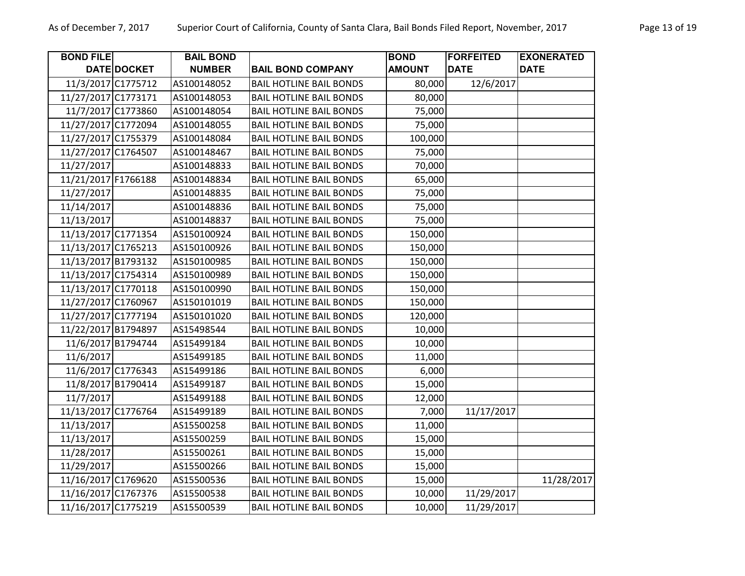| <b>BOND FILE</b>    |             | <b>BAIL BOND</b> |                                | <b>FORFEITED</b><br><b>BOND</b> |             | <b>EXONERATED</b> |
|---------------------|-------------|------------------|--------------------------------|---------------------------------|-------------|-------------------|
|                     | DATE DOCKET | <b>NUMBER</b>    | <b>BAIL BOND COMPANY</b>       | <b>AMOUNT</b>                   | <b>DATE</b> | <b>DATE</b>       |
| 11/3/2017 C1775712  |             | AS100148052      | <b>BAIL HOTLINE BAIL BONDS</b> | 80,000                          | 12/6/2017   |                   |
| 11/27/2017 C1773171 |             | AS100148053      | <b>BAIL HOTLINE BAIL BONDS</b> | 80,000                          |             |                   |
| 11/7/2017 C1773860  |             | AS100148054      | <b>BAIL HOTLINE BAIL BONDS</b> | 75,000                          |             |                   |
| 11/27/2017 C1772094 |             | AS100148055      | <b>BAIL HOTLINE BAIL BONDS</b> | 75,000                          |             |                   |
| 11/27/2017 C1755379 |             | AS100148084      | <b>BAIL HOTLINE BAIL BONDS</b> | 100,000                         |             |                   |
| 11/27/2017 C1764507 |             | AS100148467      | <b>BAIL HOTLINE BAIL BONDS</b> | 75,000                          |             |                   |
| 11/27/2017          |             | AS100148833      | <b>BAIL HOTLINE BAIL BONDS</b> | 70,000                          |             |                   |
| 11/21/2017 F1766188 |             | AS100148834      | <b>BAIL HOTLINE BAIL BONDS</b> | 65,000                          |             |                   |
| 11/27/2017          |             | AS100148835      | <b>BAIL HOTLINE BAIL BONDS</b> | 75,000                          |             |                   |
| 11/14/2017          |             | AS100148836      | <b>BAIL HOTLINE BAIL BONDS</b> | 75,000                          |             |                   |
| 11/13/2017          |             | AS100148837      | <b>BAIL HOTLINE BAIL BONDS</b> | 75,000                          |             |                   |
| 11/13/2017 C1771354 |             | AS150100924      | <b>BAIL HOTLINE BAIL BONDS</b> | 150,000                         |             |                   |
| 11/13/2017 C1765213 |             | AS150100926      | <b>BAIL HOTLINE BAIL BONDS</b> | 150,000                         |             |                   |
| 11/13/2017 B1793132 |             | AS150100985      | <b>BAIL HOTLINE BAIL BONDS</b> | 150,000                         |             |                   |
| 11/13/2017 C1754314 |             | AS150100989      | <b>BAIL HOTLINE BAIL BONDS</b> | 150,000                         |             |                   |
| 11/13/2017 C1770118 |             | AS150100990      | <b>BAIL HOTLINE BAIL BONDS</b> | 150,000                         |             |                   |
| 11/27/2017 C1760967 |             | AS150101019      | <b>BAIL HOTLINE BAIL BONDS</b> | 150,000                         |             |                   |
| 11/27/2017 C1777194 |             | AS150101020      | <b>BAIL HOTLINE BAIL BONDS</b> | 120,000                         |             |                   |
| 11/22/2017 B1794897 |             | AS15498544       | <b>BAIL HOTLINE BAIL BONDS</b> | 10,000                          |             |                   |
| 11/6/2017 B1794744  |             | AS15499184       | <b>BAIL HOTLINE BAIL BONDS</b> | 10,000                          |             |                   |
| 11/6/2017           |             | AS15499185       | <b>BAIL HOTLINE BAIL BONDS</b> | 11,000                          |             |                   |
| 11/6/2017 C1776343  |             | AS15499186       | <b>BAIL HOTLINE BAIL BONDS</b> | 6,000                           |             |                   |
| 11/8/2017 B1790414  |             | AS15499187       | <b>BAIL HOTLINE BAIL BONDS</b> | 15,000                          |             |                   |
| 11/7/2017           |             | AS15499188       | <b>BAIL HOTLINE BAIL BONDS</b> | 12,000                          |             |                   |
| 11/13/2017 C1776764 |             | AS15499189       | <b>BAIL HOTLINE BAIL BONDS</b> | 7,000                           | 11/17/2017  |                   |
| 11/13/2017          |             | AS15500258       | <b>BAIL HOTLINE BAIL BONDS</b> | 11,000                          |             |                   |
| 11/13/2017          |             | AS15500259       | <b>BAIL HOTLINE BAIL BONDS</b> | 15,000                          |             |                   |
| 11/28/2017          |             | AS15500261       | <b>BAIL HOTLINE BAIL BONDS</b> | 15,000                          |             |                   |
| 11/29/2017          |             | AS15500266       | <b>BAIL HOTLINE BAIL BONDS</b> | 15,000                          |             |                   |
| 11/16/2017 C1769620 |             | AS15500536       | <b>BAIL HOTLINE BAIL BONDS</b> | 15,000                          |             | 11/28/2017        |
| 11/16/2017 C1767376 |             | AS15500538       | <b>BAIL HOTLINE BAIL BONDS</b> | 10,000                          | 11/29/2017  |                   |
| 11/16/2017 C1775219 |             | AS15500539       | <b>BAIL HOTLINE BAIL BONDS</b> | 10,000                          | 11/29/2017  |                   |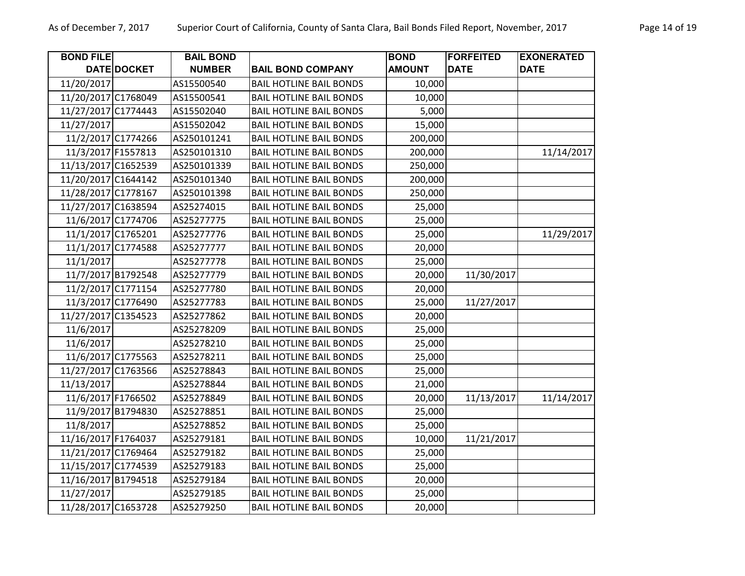| <b>BOND FILE</b>    |                    | <b>BAIL BOND</b> |                                | <b>BOND</b><br><b>FORFEITED</b> |             | <b>EXONERATED</b> |
|---------------------|--------------------|------------------|--------------------------------|---------------------------------|-------------|-------------------|
|                     | DATE DOCKET        | <b>NUMBER</b>    | <b>BAIL BOND COMPANY</b>       | <b>AMOUNT</b>                   | <b>DATE</b> | <b>DATE</b>       |
| 11/20/2017          |                    | AS15500540       | <b>BAIL HOTLINE BAIL BONDS</b> | 10,000                          |             |                   |
| 11/20/2017 C1768049 |                    | AS15500541       | <b>BAIL HOTLINE BAIL BONDS</b> | 10,000                          |             |                   |
| 11/27/2017 C1774443 |                    | AS15502040       | <b>BAIL HOTLINE BAIL BONDS</b> | 5,000                           |             |                   |
| 11/27/2017          |                    | AS15502042       | <b>BAIL HOTLINE BAIL BONDS</b> | 15,000                          |             |                   |
| 11/2/2017 C1774266  |                    | AS250101241      | <b>BAIL HOTLINE BAIL BONDS</b> | 200,000                         |             |                   |
| 11/3/2017 F1557813  |                    | AS250101310      | <b>BAIL HOTLINE BAIL BONDS</b> | 200,000                         |             | 11/14/2017        |
| 11/13/2017 C1652539 |                    | AS250101339      | <b>BAIL HOTLINE BAIL BONDS</b> | 250,000                         |             |                   |
| 11/20/2017 C1644142 |                    | AS250101340      | <b>BAIL HOTLINE BAIL BONDS</b> | 200,000                         |             |                   |
| 11/28/2017 C1778167 |                    | AS250101398      | <b>BAIL HOTLINE BAIL BONDS</b> | 250,000                         |             |                   |
| 11/27/2017 C1638594 |                    | AS25274015       | <b>BAIL HOTLINE BAIL BONDS</b> | 25,000                          |             |                   |
| 11/6/2017 C1774706  |                    | AS25277775       | <b>BAIL HOTLINE BAIL BONDS</b> | 25,000                          |             |                   |
| 11/1/2017 C1765201  |                    | AS25277776       | <b>BAIL HOTLINE BAIL BONDS</b> | 25,000                          |             | 11/29/2017        |
| 11/1/2017 C1774588  |                    | AS25277777       | <b>BAIL HOTLINE BAIL BONDS</b> | 20,000                          |             |                   |
| 11/1/2017           |                    | AS25277778       | <b>BAIL HOTLINE BAIL BONDS</b> | 25,000                          |             |                   |
|                     | 11/7/2017 B1792548 | AS25277779       | <b>BAIL HOTLINE BAIL BONDS</b> | 20,000                          | 11/30/2017  |                   |
| 11/2/2017 C1771154  |                    | AS25277780       | <b>BAIL HOTLINE BAIL BONDS</b> | 20,000                          |             |                   |
| 11/3/2017 C1776490  |                    | AS25277783       | <b>BAIL HOTLINE BAIL BONDS</b> | 25,000                          | 11/27/2017  |                   |
| 11/27/2017 C1354523 |                    | AS25277862       | <b>BAIL HOTLINE BAIL BONDS</b> | 20,000                          |             |                   |
| 11/6/2017           |                    | AS25278209       | <b>BAIL HOTLINE BAIL BONDS</b> | 25,000                          |             |                   |
| 11/6/2017           |                    | AS25278210       | <b>BAIL HOTLINE BAIL BONDS</b> | 25,000                          |             |                   |
| 11/6/2017 C1775563  |                    | AS25278211       | <b>BAIL HOTLINE BAIL BONDS</b> | 25,000                          |             |                   |
| 11/27/2017 C1763566 |                    | AS25278843       | <b>BAIL HOTLINE BAIL BONDS</b> | 25,000                          |             |                   |
| 11/13/2017          |                    | AS25278844       | <b>BAIL HOTLINE BAIL BONDS</b> | 21,000                          |             |                   |
| 11/6/2017 F1766502  |                    | AS25278849       | <b>BAIL HOTLINE BAIL BONDS</b> | 20,000                          | 11/13/2017  | 11/14/2017        |
| 11/9/2017 B1794830  |                    | AS25278851       | <b>BAIL HOTLINE BAIL BONDS</b> | 25,000                          |             |                   |
| 11/8/2017           |                    | AS25278852       | <b>BAIL HOTLINE BAIL BONDS</b> | 25,000                          |             |                   |
| 11/16/2017 F1764037 |                    | AS25279181       | <b>BAIL HOTLINE BAIL BONDS</b> | 10,000                          | 11/21/2017  |                   |
| 11/21/2017 C1769464 |                    | AS25279182       | <b>BAIL HOTLINE BAIL BONDS</b> | 25,000                          |             |                   |
| 11/15/2017 C1774539 |                    | AS25279183       | <b>BAIL HOTLINE BAIL BONDS</b> | 25,000                          |             |                   |
| 11/16/2017 B1794518 |                    | AS25279184       | <b>BAIL HOTLINE BAIL BONDS</b> | 20,000                          |             |                   |
| 11/27/2017          |                    | AS25279185       | <b>BAIL HOTLINE BAIL BONDS</b> | 25,000                          |             |                   |
| 11/28/2017 C1653728 |                    | AS25279250       | <b>BAIL HOTLINE BAIL BONDS</b> | 20,000                          |             |                   |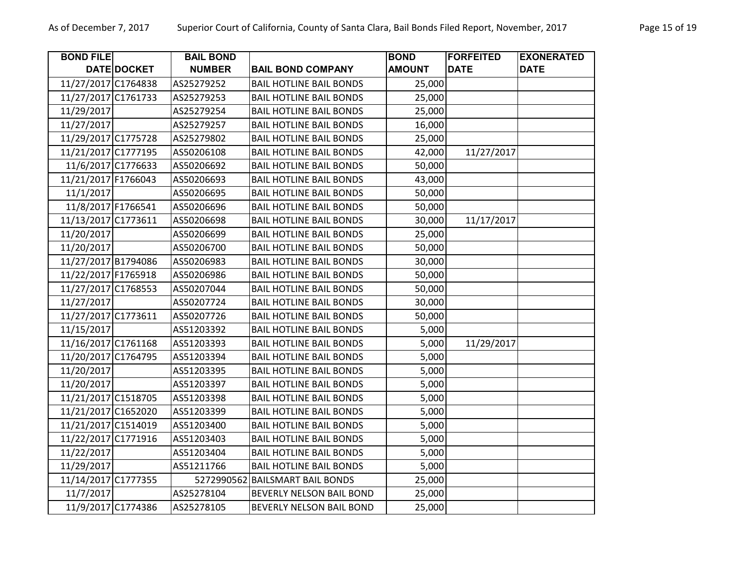| <b>BOND FILE</b>    |             | <b>BAIL BOND</b> |                                 | <b>FORFEITED</b><br><b>BOND</b> |             | <b>EXONERATED</b> |
|---------------------|-------------|------------------|---------------------------------|---------------------------------|-------------|-------------------|
|                     | DATE DOCKET | <b>NUMBER</b>    | <b>BAIL BOND COMPANY</b>        | <b>AMOUNT</b>                   | <b>DATE</b> | <b>DATE</b>       |
| 11/27/2017 C1764838 |             | AS25279252       | <b>BAIL HOTLINE BAIL BONDS</b>  | 25,000                          |             |                   |
| 11/27/2017 C1761733 |             | AS25279253       | <b>BAIL HOTLINE BAIL BONDS</b>  | 25,000                          |             |                   |
| 11/29/2017          |             | AS25279254       | <b>BAIL HOTLINE BAIL BONDS</b>  | 25,000                          |             |                   |
| 11/27/2017          |             | AS25279257       | <b>BAIL HOTLINE BAIL BONDS</b>  | 16,000                          |             |                   |
| 11/29/2017 C1775728 |             | AS25279802       | <b>BAIL HOTLINE BAIL BONDS</b>  | 25,000                          |             |                   |
| 11/21/2017 C1777195 |             | AS50206108       | <b>BAIL HOTLINE BAIL BONDS</b>  | 42,000                          | 11/27/2017  |                   |
| 11/6/2017 C1776633  |             | AS50206692       | <b>BAIL HOTLINE BAIL BONDS</b>  | 50,000                          |             |                   |
| 11/21/2017 F1766043 |             | AS50206693       | <b>BAIL HOTLINE BAIL BONDS</b>  | 43,000                          |             |                   |
| 11/1/2017           |             | AS50206695       | <b>BAIL HOTLINE BAIL BONDS</b>  | 50,000                          |             |                   |
| 11/8/2017 F1766541  |             | AS50206696       | <b>BAIL HOTLINE BAIL BONDS</b>  | 50,000                          |             |                   |
| 11/13/2017 C1773611 |             | AS50206698       | <b>BAIL HOTLINE BAIL BONDS</b>  | 30,000                          | 11/17/2017  |                   |
| 11/20/2017          |             | AS50206699       | <b>BAIL HOTLINE BAIL BONDS</b>  | 25,000                          |             |                   |
| 11/20/2017          |             | AS50206700       | <b>BAIL HOTLINE BAIL BONDS</b>  | 50,000                          |             |                   |
| 11/27/2017 B1794086 |             | AS50206983       | <b>BAIL HOTLINE BAIL BONDS</b>  | 30,000                          |             |                   |
| 11/22/2017 F1765918 |             | AS50206986       | <b>BAIL HOTLINE BAIL BONDS</b>  | 50,000                          |             |                   |
| 11/27/2017 C1768553 |             | AS50207044       | <b>BAIL HOTLINE BAIL BONDS</b>  | 50,000                          |             |                   |
| 11/27/2017          |             | AS50207724       | <b>BAIL HOTLINE BAIL BONDS</b>  | 30,000                          |             |                   |
| 11/27/2017 C1773611 |             | AS50207726       | <b>BAIL HOTLINE BAIL BONDS</b>  | 50,000                          |             |                   |
| 11/15/2017          |             | AS51203392       | <b>BAIL HOTLINE BAIL BONDS</b>  | 5,000                           |             |                   |
| 11/16/2017 C1761168 |             | AS51203393       | <b>BAIL HOTLINE BAIL BONDS</b>  | 5,000                           | 11/29/2017  |                   |
| 11/20/2017 C1764795 |             | AS51203394       | <b>BAIL HOTLINE BAIL BONDS</b>  | 5,000                           |             |                   |
| 11/20/2017          |             | AS51203395       | <b>BAIL HOTLINE BAIL BONDS</b>  | 5,000                           |             |                   |
| 11/20/2017          |             | AS51203397       | <b>BAIL HOTLINE BAIL BONDS</b>  | 5,000                           |             |                   |
| 11/21/2017 C1518705 |             | AS51203398       | <b>BAIL HOTLINE BAIL BONDS</b>  | 5,000                           |             |                   |
| 11/21/2017 C1652020 |             | AS51203399       | <b>BAIL HOTLINE BAIL BONDS</b>  | 5,000                           |             |                   |
| 11/21/2017 C1514019 |             | AS51203400       | <b>BAIL HOTLINE BAIL BONDS</b>  | 5,000                           |             |                   |
| 11/22/2017 C1771916 |             | AS51203403       | <b>BAIL HOTLINE BAIL BONDS</b>  | 5,000                           |             |                   |
| 11/22/2017          |             | AS51203404       | <b>BAIL HOTLINE BAIL BONDS</b>  | 5,000                           |             |                   |
| 11/29/2017          |             | AS51211766       | <b>BAIL HOTLINE BAIL BONDS</b>  | 5,000                           |             |                   |
| 11/14/2017 C1777355 |             |                  | 5272990562 BAILSMART BAIL BONDS | 25,000                          |             |                   |
| 11/7/2017           |             | AS25278104       | <b>BEVERLY NELSON BAIL BOND</b> | 25,000                          |             |                   |
| 11/9/2017 C1774386  |             | AS25278105       | <b>BEVERLY NELSON BAIL BOND</b> | 25,000                          |             |                   |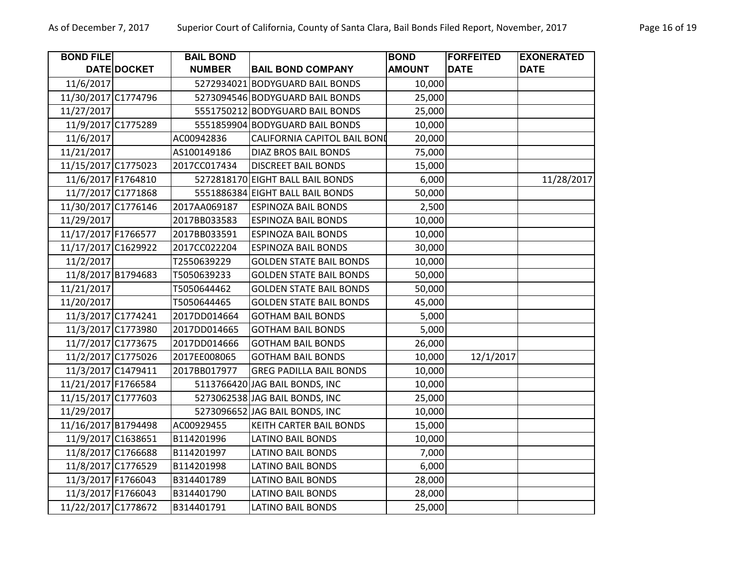| <b>BOND FILE</b>    |                    | <b>BAIL BOND</b> |                                  | <b>BOND</b>   | <b>FORFEITED</b> | <b>EXONERATED</b> |
|---------------------|--------------------|------------------|----------------------------------|---------------|------------------|-------------------|
|                     | DATE DOCKET        | <b>NUMBER</b>    | <b>BAIL BOND COMPANY</b>         | <b>AMOUNT</b> | <b>DATE</b>      | <b>DATE</b>       |
| 11/6/2017           |                    |                  | 5272934021 BODYGUARD BAIL BONDS  | 10,000        |                  |                   |
| 11/30/2017 C1774796 |                    |                  | 5273094546 BODYGUARD BAIL BONDS  | 25,000        |                  |                   |
| 11/27/2017          |                    |                  | 5551750212 BODYGUARD BAIL BONDS  | 25,000        |                  |                   |
| 11/9/2017 C1775289  |                    |                  | 5551859904 BODYGUARD BAIL BONDS  | 10,000        |                  |                   |
| 11/6/2017           |                    | AC00942836       | CALIFORNIA CAPITOL BAIL BONI     | 20,000        |                  |                   |
| 11/21/2017          |                    | AS100149186      | DIAZ BROS BAIL BONDS             | 75,000        |                  |                   |
| 11/15/2017 C1775023 |                    | 2017CC017434     | <b>DISCREET BAIL BONDS</b>       | 15,000        |                  |                   |
|                     | 11/6/2017 F1764810 |                  | 5272818170 EIGHT BALL BAIL BONDS | 6,000         |                  | 11/28/2017        |
| 11/7/2017 C1771868  |                    |                  | 5551886384 EIGHT BALL BAIL BONDS | 50,000        |                  |                   |
| 11/30/2017 C1776146 |                    | 2017AA069187     | <b>ESPINOZA BAIL BONDS</b>       | 2,500         |                  |                   |
| 11/29/2017          |                    | 2017BB033583     | <b>ESPINOZA BAIL BONDS</b>       | 10,000        |                  |                   |
| 11/17/2017 F1766577 |                    | 2017BB033591     | <b>ESPINOZA BAIL BONDS</b>       | 10,000        |                  |                   |
| 11/17/2017 C1629922 |                    | 2017CC022204     | <b>ESPINOZA BAIL BONDS</b>       | 30,000        |                  |                   |
| 11/2/2017           |                    | T2550639229      | <b>GOLDEN STATE BAIL BONDS</b>   | 10,000        |                  |                   |
| 11/8/2017 B1794683  |                    | T5050639233      | <b>GOLDEN STATE BAIL BONDS</b>   | 50,000        |                  |                   |
| 11/21/2017          |                    | T5050644462      | <b>GOLDEN STATE BAIL BONDS</b>   | 50,000        |                  |                   |
| 11/20/2017          |                    | T5050644465      | <b>GOLDEN STATE BAIL BONDS</b>   | 45,000        |                  |                   |
| 11/3/2017 C1774241  |                    | 2017DD014664     | <b>GOTHAM BAIL BONDS</b>         | 5,000         |                  |                   |
| 11/3/2017 C1773980  |                    | 2017DD014665     | <b>GOTHAM BAIL BONDS</b>         | 5,000         |                  |                   |
| 11/7/2017 C1773675  |                    | 2017DD014666     | <b>GOTHAM BAIL BONDS</b>         | 26,000        |                  |                   |
| 11/2/2017 C1775026  |                    | 2017EE008065     | <b>GOTHAM BAIL BONDS</b>         | 10,000        | 12/1/2017        |                   |
|                     | 11/3/2017 C1479411 | 2017BB017977     | <b>GREG PADILLA BAIL BONDS</b>   | 10,000        |                  |                   |
| 11/21/2017 F1766584 |                    |                  | 5113766420 JAG BAIL BONDS, INC   | 10,000        |                  |                   |
| 11/15/2017 C1777603 |                    |                  | 5273062538 JAG BAIL BONDS, INC   | 25,000        |                  |                   |
| 11/29/2017          |                    |                  | 5273096652 JAG BAIL BONDS, INC   | 10,000        |                  |                   |
| 11/16/2017 B1794498 |                    | AC00929455       | KEITH CARTER BAIL BONDS          | 15,000        |                  |                   |
|                     | 11/9/2017 C1638651 | B114201996       | <b>LATINO BAIL BONDS</b>         | 10,000        |                  |                   |
| 11/8/2017 C1766688  |                    | B114201997       | <b>LATINO BAIL BONDS</b>         | 7,000         |                  |                   |
|                     | 11/8/2017 C1776529 | B114201998       | <b>LATINO BAIL BONDS</b>         | 6,000         |                  |                   |
| 11/3/2017 F1766043  |                    | B314401789       | <b>LATINO BAIL BONDS</b>         | 28,000        |                  |                   |
| 11/3/2017 F1766043  |                    | B314401790       | LATINO BAIL BONDS                | 28,000        |                  |                   |
| 11/22/2017 C1778672 |                    | B314401791       | <b>LATINO BAIL BONDS</b>         | 25,000        |                  |                   |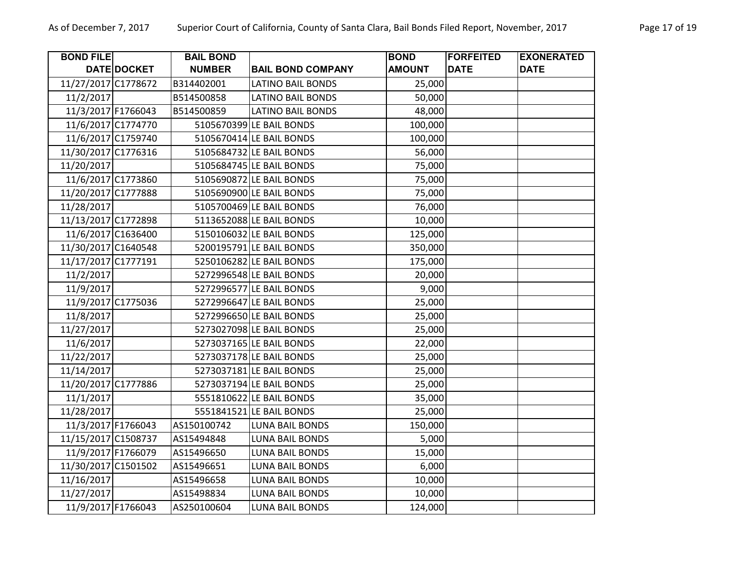| <b>BOND FILE</b>    |                    | <b>BAIL BOND</b> |                          | <b>BOND</b>   | <b>FORFEITED</b> | <b>EXONERATED</b> |
|---------------------|--------------------|------------------|--------------------------|---------------|------------------|-------------------|
|                     | DATE DOCKET        | <b>NUMBER</b>    | <b>BAIL BOND COMPANY</b> | <b>AMOUNT</b> | <b>DATE</b>      | <b>DATE</b>       |
| 11/27/2017 C1778672 |                    | B314402001       | <b>LATINO BAIL BONDS</b> | 25,000        |                  |                   |
| 11/2/2017           |                    | B514500858       | <b>LATINO BAIL BONDS</b> | 50,000        |                  |                   |
| 11/3/2017 F1766043  |                    | B514500859       | <b>LATINO BAIL BONDS</b> | 48,000        |                  |                   |
|                     | 11/6/2017 C1774770 |                  | 5105670399 LE BAIL BONDS | 100,000       |                  |                   |
| 11/6/2017 C1759740  |                    |                  | 5105670414 LE BAIL BONDS | 100,000       |                  |                   |
| 11/30/2017 C1776316 |                    |                  | 5105684732 LE BAIL BONDS | 56,000        |                  |                   |
| 11/20/2017          |                    |                  | 5105684745 LE BAIL BONDS | 75,000        |                  |                   |
| 11/6/2017 C1773860  |                    |                  | 5105690872 LE BAIL BONDS | 75,000        |                  |                   |
| 11/20/2017 C1777888 |                    |                  | 5105690900 LE BAIL BONDS | 75,000        |                  |                   |
| 11/28/2017          |                    |                  | 5105700469 LE BAIL BONDS | 76,000        |                  |                   |
| 11/13/2017 C1772898 |                    |                  | 5113652088 LE BAIL BONDS | 10,000        |                  |                   |
|                     | 11/6/2017 C1636400 |                  | 5150106032 LE BAIL BONDS | 125,000       |                  |                   |
| 11/30/2017 C1640548 |                    |                  | 5200195791 LE BAIL BONDS | 350,000       |                  |                   |
| 11/17/2017 C1777191 |                    |                  | 5250106282 LE BAIL BONDS | 175,000       |                  |                   |
| 11/2/2017           |                    |                  | 5272996548 LE BAIL BONDS | 20,000        |                  |                   |
| 11/9/2017           |                    |                  | 5272996577 LE BAIL BONDS | 9,000         |                  |                   |
|                     | 11/9/2017 C1775036 |                  | 5272996647 LE BAIL BONDS | 25,000        |                  |                   |
| 11/8/2017           |                    |                  | 5272996650 LE BAIL BONDS | 25,000        |                  |                   |
| 11/27/2017          |                    |                  | 5273027098 LE BAIL BONDS | 25,000        |                  |                   |
| 11/6/2017           |                    |                  | 5273037165 LE BAIL BONDS | 22,000        |                  |                   |
| 11/22/2017          |                    |                  | 5273037178 LE BAIL BONDS | 25,000        |                  |                   |
| 11/14/2017          |                    |                  | 5273037181 LE BAIL BONDS | 25,000        |                  |                   |
| 11/20/2017 C1777886 |                    |                  | 5273037194 LE BAIL BONDS | 25,000        |                  |                   |
| 11/1/2017           |                    |                  | 5551810622 LE BAIL BONDS | 35,000        |                  |                   |
| 11/28/2017          |                    |                  | 5551841521 LE BAIL BONDS | 25,000        |                  |                   |
| 11/3/2017 F1766043  |                    | AS150100742      | <b>LUNA BAIL BONDS</b>   | 150,000       |                  |                   |
| 11/15/2017 C1508737 |                    | AS15494848       | <b>LUNA BAIL BONDS</b>   | 5,000         |                  |                   |
| 11/9/2017 F1766079  |                    | AS15496650       | <b>LUNA BAIL BONDS</b>   | 15,000        |                  |                   |
| 11/30/2017 C1501502 |                    | AS15496651       | <b>LUNA BAIL BONDS</b>   | 6,000         |                  |                   |
| 11/16/2017          |                    | AS15496658       | <b>LUNA BAIL BONDS</b>   | 10,000        |                  |                   |
| 11/27/2017          |                    | AS15498834       | <b>LUNA BAIL BONDS</b>   | 10,000        |                  |                   |
| 11/9/2017 F1766043  |                    | AS250100604      | <b>LUNA BAIL BONDS</b>   | 124,000       |                  |                   |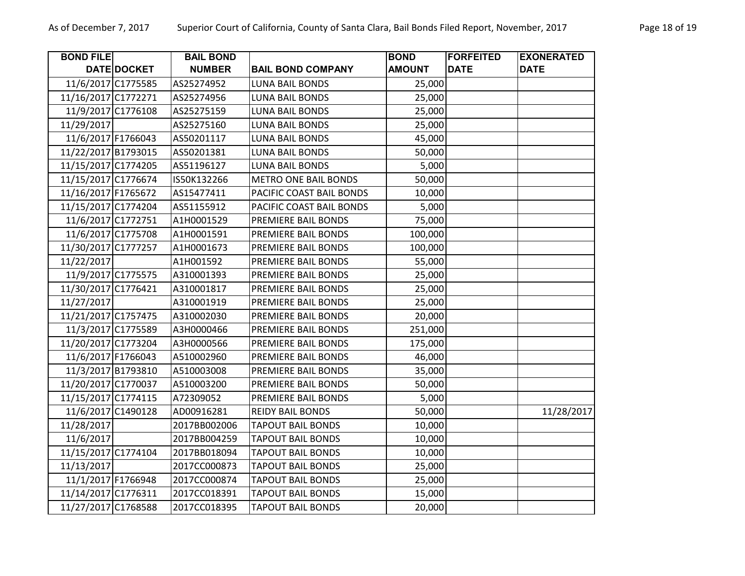| <b>BOND FILE</b>    |                    | <b>BAIL BOND</b> |                             | <b>BOND</b>                  | <b>FORFEITED</b> | <b>EXONERATED</b> |
|---------------------|--------------------|------------------|-----------------------------|------------------------------|------------------|-------------------|
|                     | DATE DOCKET        | <b>NUMBER</b>    | <b>BAIL BOND COMPANY</b>    | <b>AMOUNT</b><br><b>DATE</b> |                  | <b>DATE</b>       |
|                     | 11/6/2017 C1775585 | AS25274952       | <b>LUNA BAIL BONDS</b>      | 25,000                       |                  |                   |
| 11/16/2017 C1772271 |                    | AS25274956       | <b>LUNA BAIL BONDS</b>      | 25,000                       |                  |                   |
|                     | 11/9/2017 C1776108 | AS25275159       | <b>LUNA BAIL BONDS</b>      | 25,000                       |                  |                   |
| 11/29/2017          |                    | AS25275160       | <b>LUNA BAIL BONDS</b>      | 25,000                       |                  |                   |
|                     | 11/6/2017 F1766043 | AS50201117       | LUNA BAIL BONDS             | 45,000                       |                  |                   |
| 11/22/2017 B1793015 |                    | AS50201381       | LUNA BAIL BONDS             | 50,000                       |                  |                   |
| 11/15/2017 C1774205 |                    | AS51196127       | <b>LUNA BAIL BONDS</b>      | 5,000                        |                  |                   |
| 11/15/2017 C1776674 |                    | IS50K132266      | <b>METRO ONE BAIL BONDS</b> | 50,000                       |                  |                   |
| 11/16/2017 F1765672 |                    | AS15477411       | PACIFIC COAST BAIL BONDS    | 10,000                       |                  |                   |
| 11/15/2017 C1774204 |                    | AS51155912       | PACIFIC COAST BAIL BONDS    | 5,000                        |                  |                   |
|                     | 11/6/2017 C1772751 | A1H0001529       | PREMIERE BAIL BONDS         | 75,000                       |                  |                   |
|                     | 11/6/2017 C1775708 | A1H0001591       | PREMIERE BAIL BONDS         | 100,000                      |                  |                   |
| 11/30/2017 C1777257 |                    | A1H0001673       | PREMIERE BAIL BONDS         | 100,000                      |                  |                   |
| 11/22/2017          |                    | A1H001592        | PREMIERE BAIL BONDS         | 55,000                       |                  |                   |
|                     | 11/9/2017 C1775575 | A310001393       | PREMIERE BAIL BONDS         | 25,000                       |                  |                   |
| 11/30/2017 C1776421 |                    | A310001817       | PREMIERE BAIL BONDS         | 25,000                       |                  |                   |
| 11/27/2017          |                    | A310001919       | PREMIERE BAIL BONDS         | 25,000                       |                  |                   |
| 11/21/2017 C1757475 |                    | A310002030       | PREMIERE BAIL BONDS         | 20,000                       |                  |                   |
|                     | 11/3/2017 C1775589 | A3H0000466       | PREMIERE BAIL BONDS         | 251,000                      |                  |                   |
| 11/20/2017 C1773204 |                    | A3H0000566       | PREMIERE BAIL BONDS         | 175,000                      |                  |                   |
|                     | 11/6/2017 F1766043 | A510002960       | PREMIERE BAIL BONDS         | 46,000                       |                  |                   |
|                     | 11/3/2017 B1793810 | A510003008       | PREMIERE BAIL BONDS         | 35,000                       |                  |                   |
| 11/20/2017 C1770037 |                    | A510003200       | PREMIERE BAIL BONDS         | 50,000                       |                  |                   |
| 11/15/2017 C1774115 |                    | A72309052        | PREMIERE BAIL BONDS         | 5,000                        |                  |                   |
|                     | 11/6/2017 C1490128 | AD00916281       | <b>REIDY BAIL BONDS</b>     | 50,000                       |                  | 11/28/2017        |
| 11/28/2017          |                    | 2017BB002006     | <b>TAPOUT BAIL BONDS</b>    | 10,000                       |                  |                   |
| 11/6/2017           |                    | 2017BB004259     | <b>TAPOUT BAIL BONDS</b>    | 10,000                       |                  |                   |
| 11/15/2017 C1774104 |                    | 2017BB018094     | <b>TAPOUT BAIL BONDS</b>    | 10,000                       |                  |                   |
| 11/13/2017          |                    | 2017CC000873     | <b>TAPOUT BAIL BONDS</b>    | 25,000                       |                  |                   |
|                     | 11/1/2017 F1766948 | 2017CC000874     | <b>TAPOUT BAIL BONDS</b>    | 25,000                       |                  |                   |
| 11/14/2017 C1776311 |                    | 2017CC018391     | <b>TAPOUT BAIL BONDS</b>    | 15,000                       |                  |                   |
| 11/27/2017 C1768588 |                    | 2017CC018395     | <b>TAPOUT BAIL BONDS</b>    | 20,000                       |                  |                   |